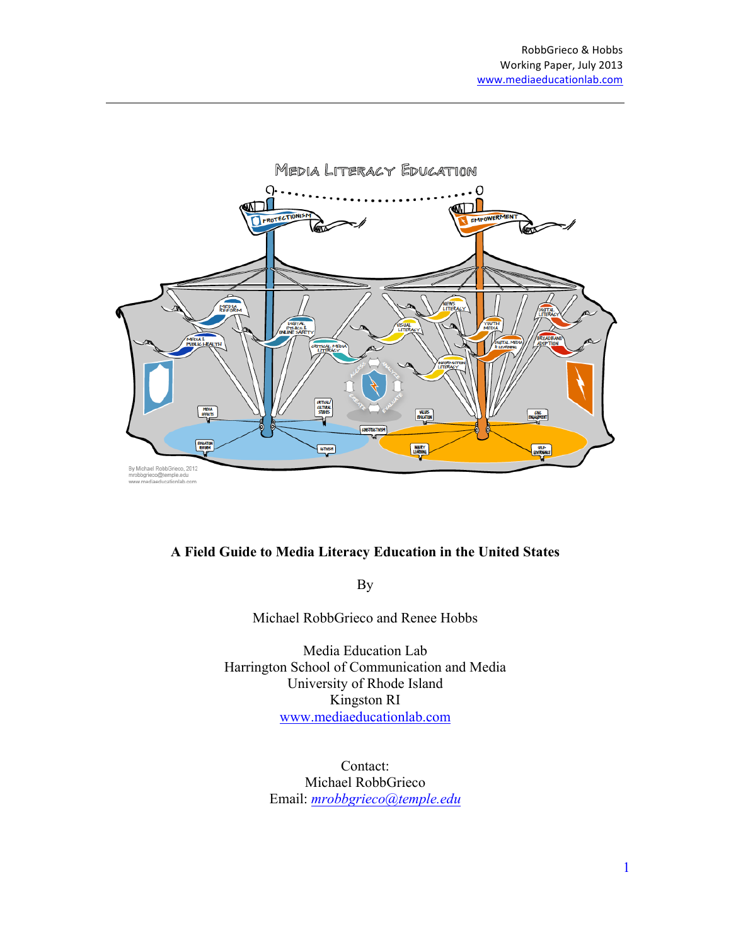

#### **A Field Guide to Media Literacy Education in the United States**

By

Michael RobbGrieco and Renee Hobbs

Media Education Lab Harrington School of Communication and Media University of Rhode Island Kingston RI www.mediaeducationlab.com

> Contact: Michael RobbGrieco Email: *mrobbgrieco@temple.edu*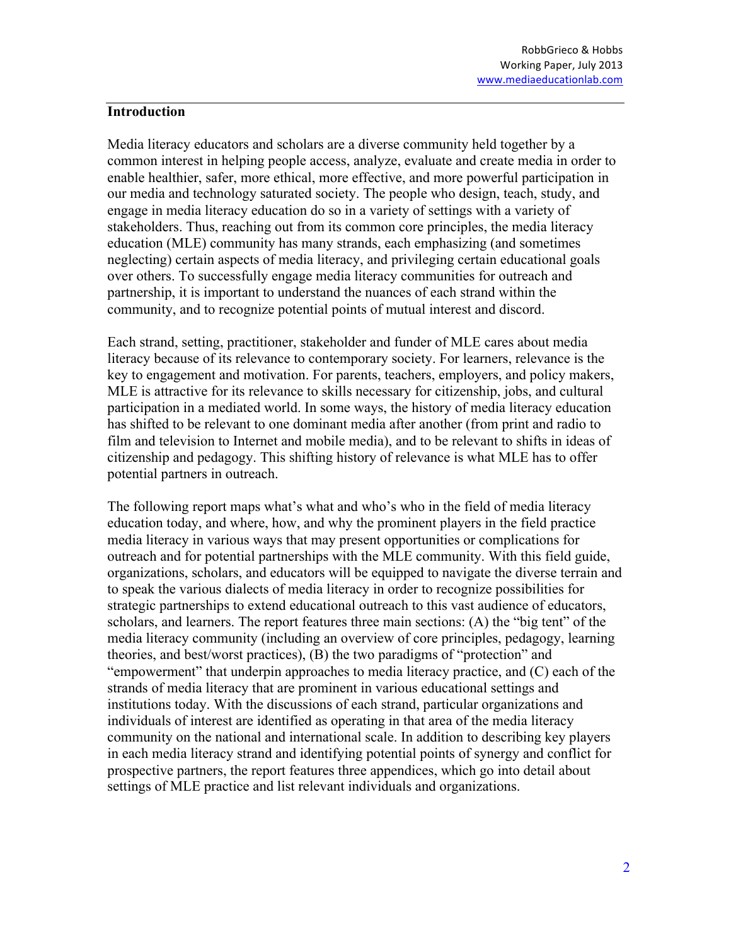#### **Introduction**

Media literacy educators and scholars are a diverse community held together by a common interest in helping people access, analyze, evaluate and create media in order to enable healthier, safer, more ethical, more effective, and more powerful participation in our media and technology saturated society. The people who design, teach, study, and engage in media literacy education do so in a variety of settings with a variety of stakeholders. Thus, reaching out from its common core principles, the media literacy education (MLE) community has many strands, each emphasizing (and sometimes neglecting) certain aspects of media literacy, and privileging certain educational goals over others. To successfully engage media literacy communities for outreach and partnership, it is important to understand the nuances of each strand within the community, and to recognize potential points of mutual interest and discord.

Each strand, setting, practitioner, stakeholder and funder of MLE cares about media literacy because of its relevance to contemporary society. For learners, relevance is the key to engagement and motivation. For parents, teachers, employers, and policy makers, MLE is attractive for its relevance to skills necessary for citizenship, jobs, and cultural participation in a mediated world. In some ways, the history of media literacy education has shifted to be relevant to one dominant media after another (from print and radio to film and television to Internet and mobile media), and to be relevant to shifts in ideas of citizenship and pedagogy. This shifting history of relevance is what MLE has to offer potential partners in outreach.

The following report maps what's what and who's who in the field of media literacy education today, and where, how, and why the prominent players in the field practice media literacy in various ways that may present opportunities or complications for outreach and for potential partnerships with the MLE community. With this field guide, organizations, scholars, and educators will be equipped to navigate the diverse terrain and to speak the various dialects of media literacy in order to recognize possibilities for strategic partnerships to extend educational outreach to this vast audience of educators, scholars, and learners. The report features three main sections: (A) the "big tent" of the media literacy community (including an overview of core principles, pedagogy, learning theories, and best/worst practices), (B) the two paradigms of "protection" and "empowerment" that underpin approaches to media literacy practice, and (C) each of the strands of media literacy that are prominent in various educational settings and institutions today. With the discussions of each strand, particular organizations and individuals of interest are identified as operating in that area of the media literacy community on the national and international scale. In addition to describing key players in each media literacy strand and identifying potential points of synergy and conflict for prospective partners, the report features three appendices, which go into detail about settings of MLE practice and list relevant individuals and organizations.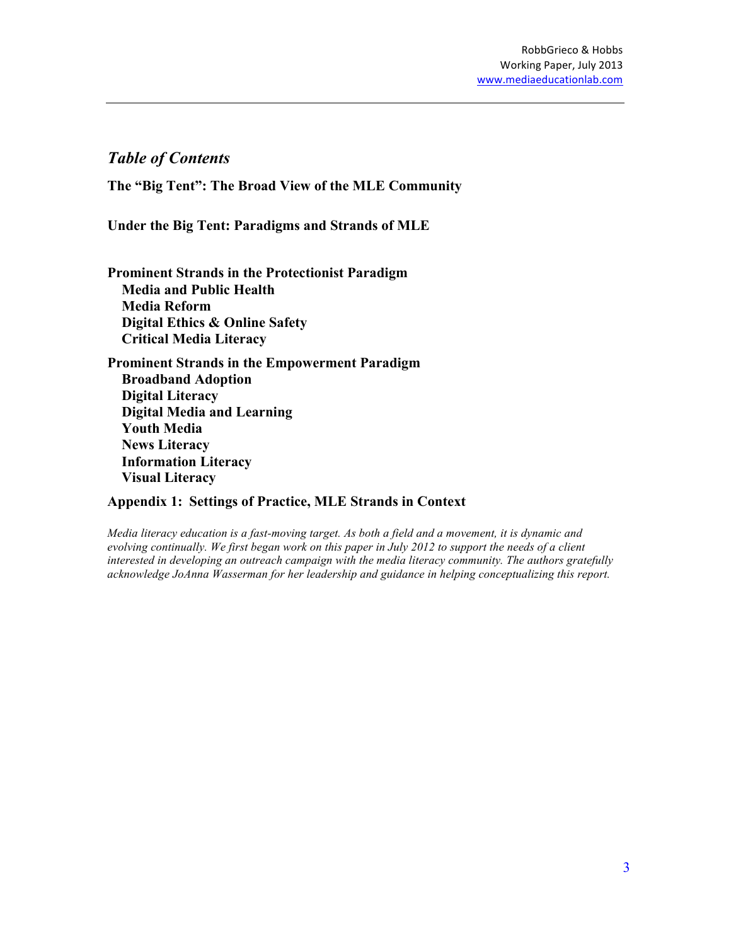### *Table of Contents*

**The "Big Tent": The Broad View of the MLE Community**

**Under the Big Tent: Paradigms and Strands of MLE**

**Prominent Strands in the Protectionist Paradigm Media and Public Health Media Reform Digital Ethics & Online Safety Critical Media Literacy**

**Prominent Strands in the Empowerment Paradigm Broadband Adoption Digital Literacy Digital Media and Learning Youth Media News Literacy Information Literacy Visual Literacy**

#### **Appendix 1: Settings of Practice, MLE Strands in Context**

*Media literacy education is a fast-moving target. As both a field and a movement, it is dynamic and evolving continually. We first began work on this paper in July 2012 to support the needs of a client interested in developing an outreach campaign with the media literacy community. The authors gratefully acknowledge JoAnna Wasserman for her leadership and guidance in helping conceptualizing this report.*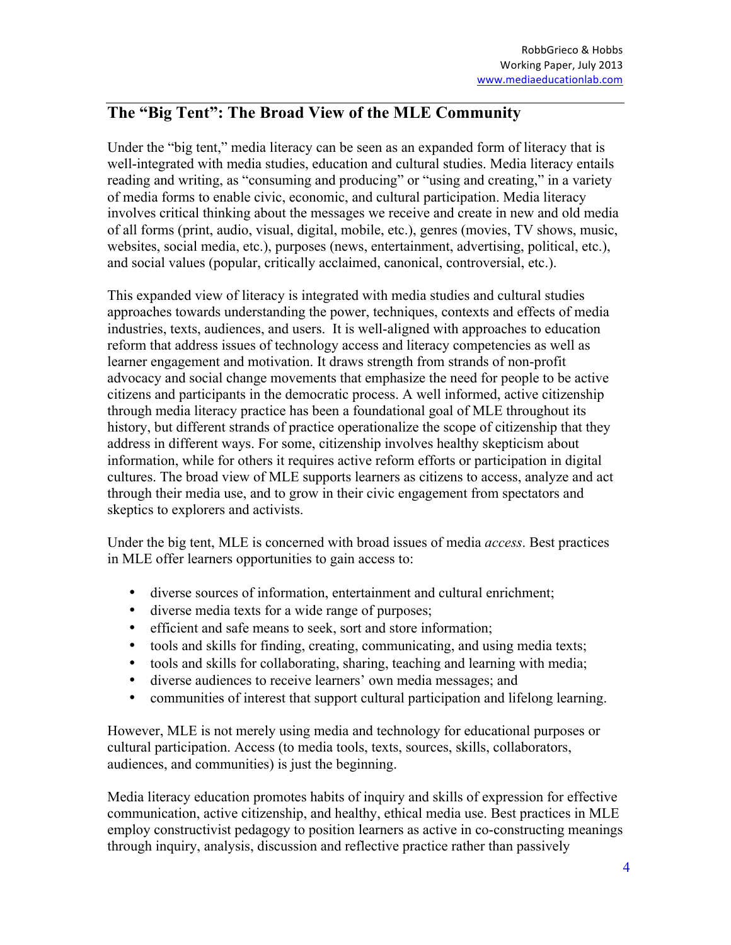# **The "Big Tent": The Broad View of the MLE Community**

Under the "big tent," media literacy can be seen as an expanded form of literacy that is well-integrated with media studies, education and cultural studies. Media literacy entails reading and writing, as "consuming and producing" or "using and creating," in a variety of media forms to enable civic, economic, and cultural participation. Media literacy involves critical thinking about the messages we receive and create in new and old media of all forms (print, audio, visual, digital, mobile, etc.), genres (movies, TV shows, music, websites, social media, etc.), purposes (news, entertainment, advertising, political, etc.), and social values (popular, critically acclaimed, canonical, controversial, etc.).

This expanded view of literacy is integrated with media studies and cultural studies approaches towards understanding the power, techniques, contexts and effects of media industries, texts, audiences, and users. It is well-aligned with approaches to education reform that address issues of technology access and literacy competencies as well as learner engagement and motivation. It draws strength from strands of non-profit advocacy and social change movements that emphasize the need for people to be active citizens and participants in the democratic process. A well informed, active citizenship through media literacy practice has been a foundational goal of MLE throughout its history, but different strands of practice operationalize the scope of citizenship that they address in different ways. For some, citizenship involves healthy skepticism about information, while for others it requires active reform efforts or participation in digital cultures. The broad view of MLE supports learners as citizens to access, analyze and act through their media use, and to grow in their civic engagement from spectators and skeptics to explorers and activists.

Under the big tent, MLE is concerned with broad issues of media *access*. Best practices in MLE offer learners opportunities to gain access to:

- diverse sources of information, entertainment and cultural enrichment;
- diverse media texts for a wide range of purposes;
- efficient and safe means to seek, sort and store information;
- tools and skills for finding, creating, communicating, and using media texts;
- tools and skills for collaborating, sharing, teaching and learning with media;
- diverse audiences to receive learners' own media messages; and
- communities of interest that support cultural participation and lifelong learning.

However, MLE is not merely using media and technology for educational purposes or cultural participation. Access (to media tools, texts, sources, skills, collaborators, audiences, and communities) is just the beginning.

Media literacy education promotes habits of inquiry and skills of expression for effective communication, active citizenship, and healthy, ethical media use. Best practices in MLE employ constructivist pedagogy to position learners as active in co-constructing meanings through inquiry, analysis, discussion and reflective practice rather than passively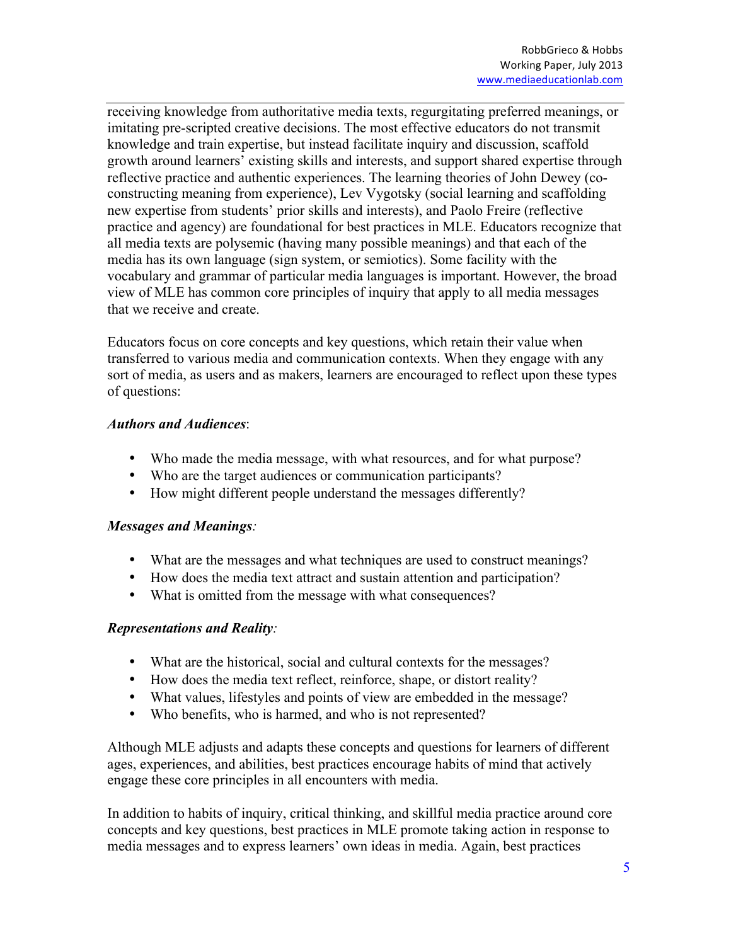receiving knowledge from authoritative media texts, regurgitating preferred meanings, or imitating pre-scripted creative decisions. The most effective educators do not transmit knowledge and train expertise, but instead facilitate inquiry and discussion, scaffold growth around learners' existing skills and interests, and support shared expertise through reflective practice and authentic experiences. The learning theories of John Dewey (coconstructing meaning from experience), Lev Vygotsky (social learning and scaffolding new expertise from students' prior skills and interests), and Paolo Freire (reflective practice and agency) are foundational for best practices in MLE. Educators recognize that all media texts are polysemic (having many possible meanings) and that each of the media has its own language (sign system, or semiotics). Some facility with the vocabulary and grammar of particular media languages is important. However, the broad view of MLE has common core principles of inquiry that apply to all media messages that we receive and create.

Educators focus on core concepts and key questions, which retain their value when transferred to various media and communication contexts. When they engage with any sort of media, as users and as makers, learners are encouraged to reflect upon these types of questions:

#### *Authors and Audiences*:

- Who made the media message, with what resources, and for what purpose?
- Who are the target audiences or communication participants?
- How might different people understand the messages differently?

#### *Messages and Meanings:*

- What are the messages and what techniques are used to construct meanings?
- How does the media text attract and sustain attention and participation?
- What is omitted from the message with what consequences?

### *Representations and Reality:*

- What are the historical, social and cultural contexts for the messages?
- How does the media text reflect, reinforce, shape, or distort reality?
- What values, lifestyles and points of view are embedded in the message?
- Who benefits, who is harmed, and who is not represented?

Although MLE adjusts and adapts these concepts and questions for learners of different ages, experiences, and abilities, best practices encourage habits of mind that actively engage these core principles in all encounters with media.

In addition to habits of inquiry, critical thinking, and skillful media practice around core concepts and key questions, best practices in MLE promote taking action in response to media messages and to express learners' own ideas in media. Again, best practices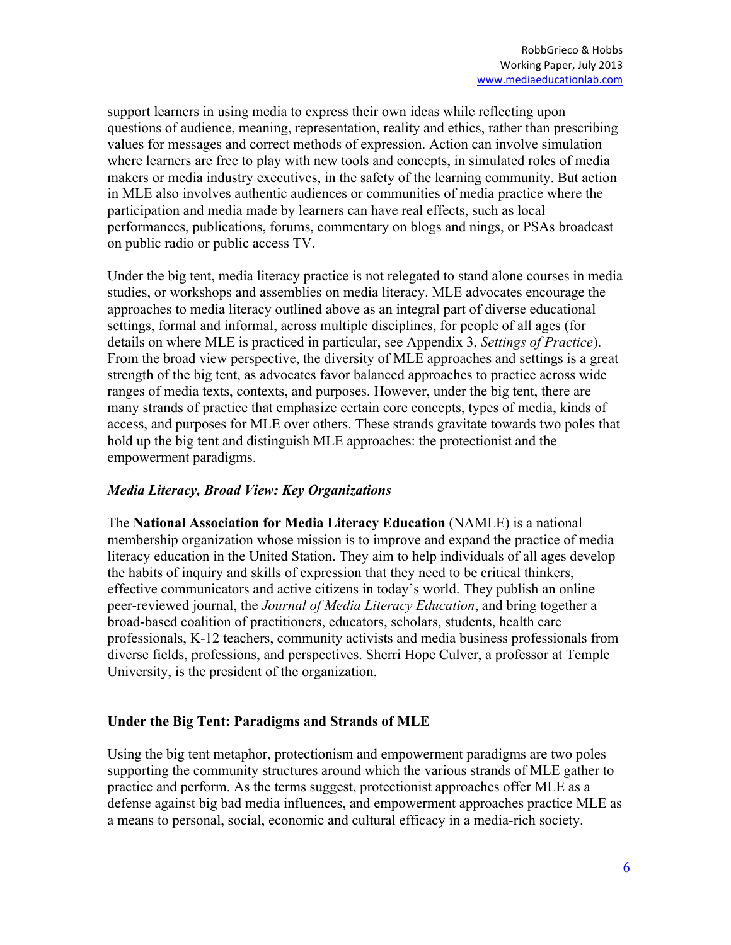support learners in using media to express their own ideas while reflecting upon questions of audience, meaning, representation, reality and ethics, rather than prescribing values for messages and correct methods of expression. Action can involve simulation where learners are free to play with new tools and concepts, in simulated roles of media makers or media industry executives, in the safety of the learning community. But action in MLE also involves authentic audiences or communities of media practice where the participation and media made by learners can have real effects, such as local performances, publications, forums, commentary on blogs and nings, or PSAs broadcast on public radio or public access TV.

Under the big tent, media literacy practice is not relegated to stand alone courses in media studies, or workshops and assemblies on media literacy. MLE advocates encourage the approaches to media literacy outlined above as an integral part of diverse educational settings, formal and informal, across multiple disciplines, for people of all ages (for details on where MLE is practiced in particular, see Appendix 3, *Settings of Practice*). From the broad view perspective, the diversity of MLE approaches and settings is a great strength of the big tent, as advocates favor balanced approaches to practice across wide ranges of media texts, contexts, and purposes. However, under the big tent, there are many strands of practice that emphasize certain core concepts, types of media, kinds of access, and purposes for MLE over others. These strands gravitate towards two poles that hold up the big tent and distinguish MLE approaches: the protectionist and the empowerment paradigms.

#### *Media Literacy, Broad View: Key Organizations*

The **National Association for Media Literacy Education** (NAMLE) is a national membership organization whose mission is to improve and expand the practice of media literacy education in the United Station. They aim to help individuals of all ages develop the habits of inquiry and skills of expression that they need to be critical thinkers, effective communicators and active citizens in today's world. They publish an online peer-reviewed journal, the *Journal of Media Literacy Education*, and bring together a broad-based coalition of practitioners, educators, scholars, students, health care professionals, K-12 teachers, community activists and media business professionals from diverse fields, professions, and perspectives. Sherri Hope Culver, a professor at Temple University, is the president of the organization.

### **Under the Big Tent: Paradigms and Strands of MLE**

Using the big tent metaphor, protectionism and empowerment paradigms are two poles supporting the community structures around which the various strands of MLE gather to practice and perform. As the terms suggest, protectionist approaches offer MLE as a defense against big bad media influences, and empowerment approaches practice MLE as a means to personal, social, economic and cultural efficacy in a media-rich society.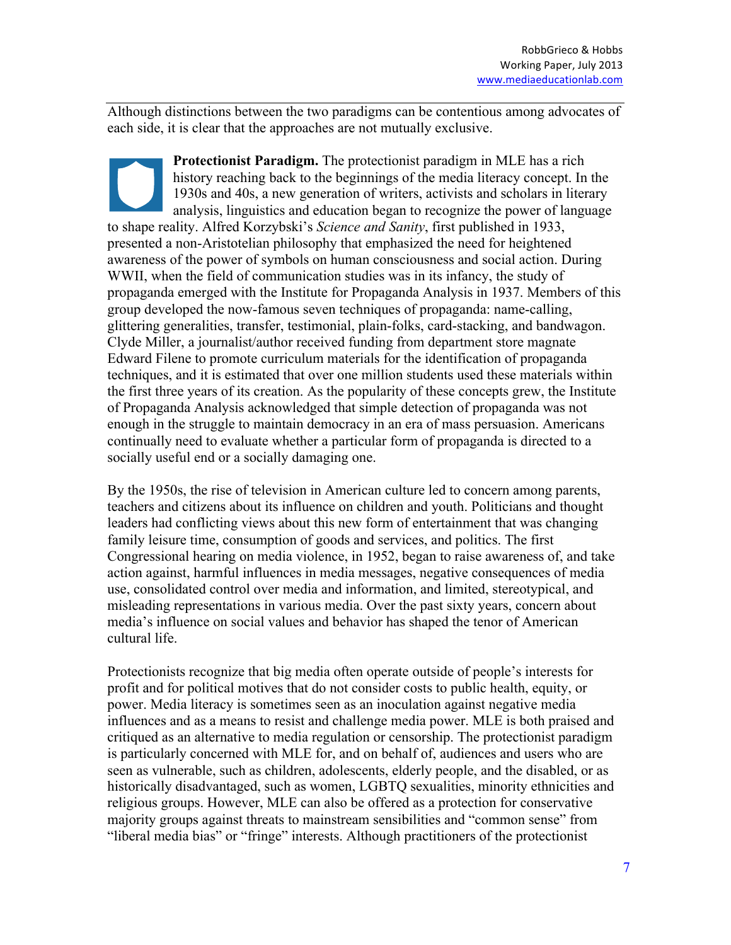Although distinctions between the two paradigms can be contentious among advocates of each side, it is clear that the approaches are not mutually exclusive.

**Protectionist Paradigm.** The protectionist paradigm in MLE has a rich history reaching back to the beginnings of the media literacy concept. In the 1930s and 40s, a new generation of writers, activists and scholars in literary analysis, linguistics and education began to recognize the power of language to shape reality. Alfred Korzybski's *Science and Sanity*, first published in 1933, presented a non-Aristotelian philosophy that emphasized the need for heightened awareness of the power of symbols on human consciousness and social action. During WWII, when the field of communication studies was in its infancy, the study of propaganda emerged with the Institute for Propaganda Analysis in 1937. Members of this group developed the now-famous seven techniques of propaganda: name-calling, glittering generalities, transfer, testimonial, plain-folks, card-stacking, and bandwagon. Clyde Miller, a journalist/author received funding from department store magnate Edward Filene to promote curriculum materials for the identification of propaganda techniques, and it is estimated that over one million students used these materials within the first three years of its creation. As the popularity of these concepts grew, the Institute of Propaganda Analysis acknowledged that simple detection of propaganda was not enough in the struggle to maintain democracy in an era of mass persuasion. Americans continually need to evaluate whether a particular form of propaganda is directed to a socially useful end or a socially damaging one.

By the 1950s, the rise of television in American culture led to concern among parents, teachers and citizens about its influence on children and youth. Politicians and thought leaders had conflicting views about this new form of entertainment that was changing family leisure time, consumption of goods and services, and politics. The first Congressional hearing on media violence, in 1952, began to raise awareness of, and take action against, harmful influences in media messages, negative consequences of media use, consolidated control over media and information, and limited, stereotypical, and misleading representations in various media. Over the past sixty years, concern about media's influence on social values and behavior has shaped the tenor of American cultural life.

Protectionists recognize that big media often operate outside of people's interests for profit and for political motives that do not consider costs to public health, equity, or power. Media literacy is sometimes seen as an inoculation against negative media influences and as a means to resist and challenge media power. MLE is both praised and critiqued as an alternative to media regulation or censorship. The protectionist paradigm is particularly concerned with MLE for, and on behalf of, audiences and users who are seen as vulnerable, such as children, adolescents, elderly people, and the disabled, or as historically disadvantaged, such as women, LGBTQ sexualities, minority ethnicities and religious groups. However, MLE can also be offered as a protection for conservative majority groups against threats to mainstream sensibilities and "common sense" from "liberal media bias" or "fringe" interests. Although practitioners of the protectionist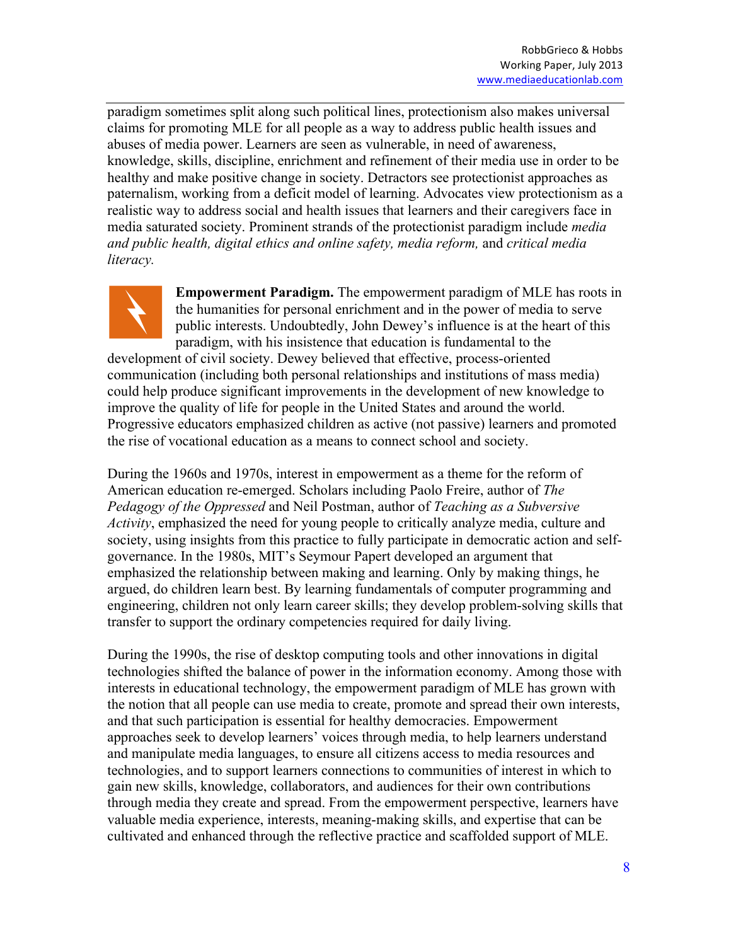paradigm sometimes split along such political lines, protectionism also makes universal claims for promoting MLE for all people as a way to address public health issues and abuses of media power. Learners are seen as vulnerable, in need of awareness, knowledge, skills, discipline, enrichment and refinement of their media use in order to be healthy and make positive change in society. Detractors see protectionist approaches as paternalism, working from a deficit model of learning. Advocates view protectionism as a realistic way to address social and health issues that learners and their caregivers face in media saturated society. Prominent strands of the protectionist paradigm include *media and public health, digital ethics and online safety, media reform,* and *critical media literacy.*



**Empowerment Paradigm.** The empowerment paradigm of MLE has roots in the humanities for personal enrichment and in the power of media to serve public interests. Undoubtedly, John Dewey's influence is at the heart of this paradigm, with his insistence that education is fundamental to the

development of civil society. Dewey believed that effective, process-oriented communication (including both personal relationships and institutions of mass media) could help produce significant improvements in the development of new knowledge to improve the quality of life for people in the United States and around the world. Progressive educators emphasized children as active (not passive) learners and promoted the rise of vocational education as a means to connect school and society.

During the 1960s and 1970s, interest in empowerment as a theme for the reform of American education re-emerged. Scholars including Paolo Freire, author of *The Pedagogy of the Oppressed* and Neil Postman, author of *Teaching as a Subversive Activity*, emphasized the need for young people to critically analyze media, culture and society, using insights from this practice to fully participate in democratic action and selfgovernance. In the 1980s, MIT's Seymour Papert developed an argument that emphasized the relationship between making and learning. Only by making things, he argued, do children learn best. By learning fundamentals of computer programming and engineering, children not only learn career skills; they develop problem-solving skills that transfer to support the ordinary competencies required for daily living.

During the 1990s, the rise of desktop computing tools and other innovations in digital technologies shifted the balance of power in the information economy. Among those with interests in educational technology, the empowerment paradigm of MLE has grown with the notion that all people can use media to create, promote and spread their own interests, and that such participation is essential for healthy democracies. Empowerment approaches seek to develop learners' voices through media, to help learners understand and manipulate media languages, to ensure all citizens access to media resources and technologies, and to support learners connections to communities of interest in which to gain new skills, knowledge, collaborators, and audiences for their own contributions through media they create and spread. From the empowerment perspective, learners have valuable media experience, interests, meaning-making skills, and expertise that can be cultivated and enhanced through the reflective practice and scaffolded support of MLE.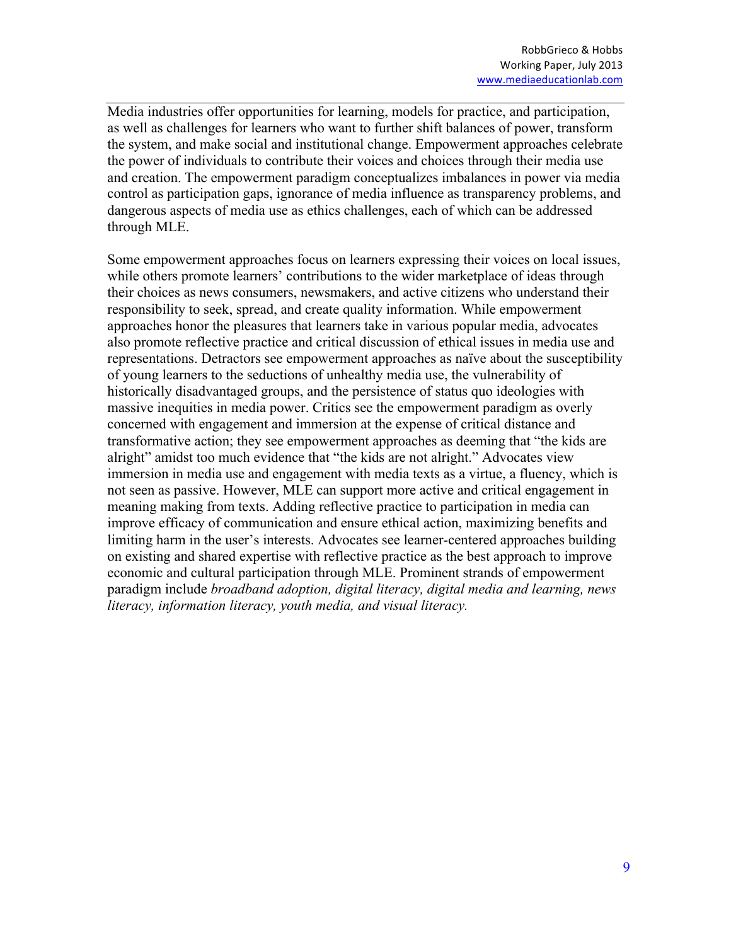Media industries offer opportunities for learning, models for practice, and participation, as well as challenges for learners who want to further shift balances of power, transform the system, and make social and institutional change. Empowerment approaches celebrate the power of individuals to contribute their voices and choices through their media use and creation. The empowerment paradigm conceptualizes imbalances in power via media control as participation gaps, ignorance of media influence as transparency problems, and dangerous aspects of media use as ethics challenges, each of which can be addressed through MLE.

Some empowerment approaches focus on learners expressing their voices on local issues, while others promote learners' contributions to the wider marketplace of ideas through their choices as news consumers, newsmakers, and active citizens who understand their responsibility to seek, spread, and create quality information. While empowerment approaches honor the pleasures that learners take in various popular media, advocates also promote reflective practice and critical discussion of ethical issues in media use and representations. Detractors see empowerment approaches as naïve about the susceptibility of young learners to the seductions of unhealthy media use, the vulnerability of historically disadvantaged groups, and the persistence of status quo ideologies with massive inequities in media power. Critics see the empowerment paradigm as overly concerned with engagement and immersion at the expense of critical distance and transformative action; they see empowerment approaches as deeming that "the kids are alright" amidst too much evidence that "the kids are not alright." Advocates view immersion in media use and engagement with media texts as a virtue, a fluency, which is not seen as passive. However, MLE can support more active and critical engagement in meaning making from texts. Adding reflective practice to participation in media can improve efficacy of communication and ensure ethical action, maximizing benefits and limiting harm in the user's interests. Advocates see learner-centered approaches building on existing and shared expertise with reflective practice as the best approach to improve economic and cultural participation through MLE. Prominent strands of empowerment paradigm include *broadband adoption, digital literacy, digital media and learning, news literacy, information literacy, youth media, and visual literacy.*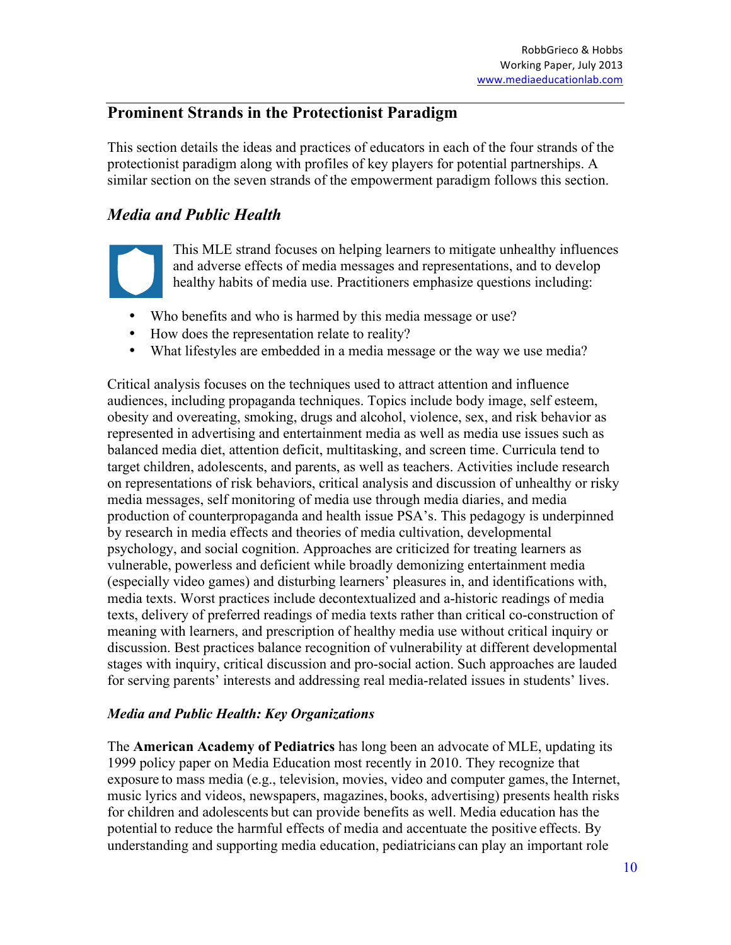## **Prominent Strands in the Protectionist Paradigm**

This section details the ideas and practices of educators in each of the four strands of the protectionist paradigm along with profiles of key players for potential partnerships. A similar section on the seven strands of the empowerment paradigm follows this section.

# *Media and Public Health*

This MLE strand focuses on helping learners to mitigate unhealthy influences and adverse effects of media messages and representations, and to develop healthy habits of media use. Practitioners emphasize questions including:

- Who benefits and who is harmed by this media message or use?
- How does the representation relate to reality?
- What lifestyles are embedded in a media message or the way we use media?

Critical analysis focuses on the techniques used to attract attention and influence audiences, including propaganda techniques. Topics include body image, self esteem, obesity and overeating, smoking, drugs and alcohol, violence, sex, and risk behavior as represented in advertising and entertainment media as well as media use issues such as balanced media diet, attention deficit, multitasking, and screen time. Curricula tend to target children, adolescents, and parents, as well as teachers. Activities include research on representations of risk behaviors, critical analysis and discussion of unhealthy or risky media messages, self monitoring of media use through media diaries, and media production of counterpropaganda and health issue PSA's. This pedagogy is underpinned by research in media effects and theories of media cultivation, developmental psychology, and social cognition. Approaches are criticized for treating learners as vulnerable, powerless and deficient while broadly demonizing entertainment media (especially video games) and disturbing learners' pleasures in, and identifications with, media texts. Worst practices include decontextualized and a-historic readings of media texts, delivery of preferred readings of media texts rather than critical co-construction of meaning with learners, and prescription of healthy media use without critical inquiry or discussion. Best practices balance recognition of vulnerability at different developmental stages with inquiry, critical discussion and pro-social action. Such approaches are lauded for serving parents' interests and addressing real media-related issues in students' lives.

### *Media and Public Health: Key Organizations*

The **American Academy of Pediatrics** has long been an advocate of MLE, updating its 1999 policy paper on Media Education most recently in 2010. They recognize that exposure to mass media (e.g., television, movies, video and computer games, the Internet, music lyrics and videos, newspapers, magazines, books, advertising) presents health risks for children and adolescents but can provide benefits as well. Media education has the potential to reduce the harmful effects of media and accentuate the positive effects. By understanding and supporting media education, pediatricians can play an important role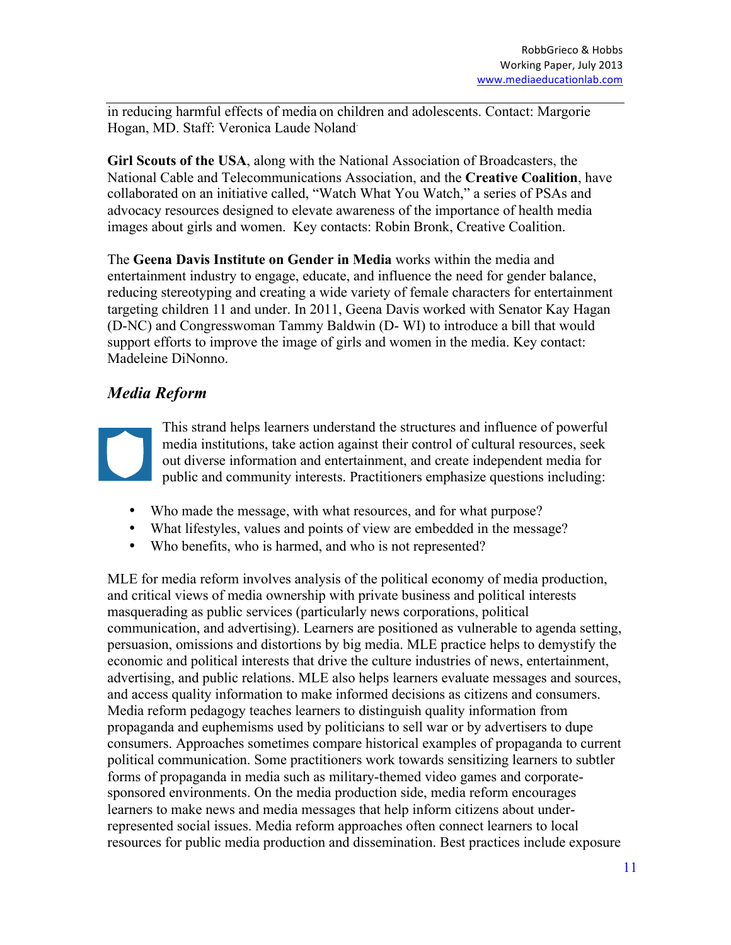in reducing harmful effects of media on children and adolescents. Contact: Margorie Hogan, MD. Staff: Veronica Laude Noland.

**Girl Scouts of the USA**, along with the National Association of Broadcasters, the National Cable and Telecommunications Association, and the **Creative Coalition**, have collaborated on an initiative called, "Watch What You Watch," a series of PSAs and advocacy resources designed to elevate awareness of the importance of health media images about girls and women. Key contacts: Robin Bronk, Creative Coalition.

The **Geena Davis Institute on Gender in Media** works within the media and entertainment industry to engage, educate, and influence the need for gender balance, reducing stereotyping and creating a wide variety of female characters for entertainment targeting children 11 and under. In 2011, Geena Davis worked with Senator Kay Hagan (D-NC) and Congresswoman Tammy Baldwin (D- WI) to introduce a bill that would support efforts to improve the image of girls and women in the media. Key contact: Madeleine DiNonno.

# *Media Reform*



This strand helps learners understand the structures and influence of powerful media institutions, take action against their control of cultural resources, seek out diverse information and entertainment, and create independent media for public and community interests. Practitioners emphasize questions including:

- Who made the message, with what resources, and for what purpose?
- What lifestyles, values and points of view are embedded in the message?
- Who benefits, who is harmed, and who is not represented?

MLE for media reform involves analysis of the political economy of media production, and critical views of media ownership with private business and political interests masquerading as public services (particularly news corporations, political communication, and advertising). Learners are positioned as vulnerable to agenda setting, persuasion, omissions and distortions by big media. MLE practice helps to demystify the economic and political interests that drive the culture industries of news, entertainment, advertising, and public relations. MLE also helps learners evaluate messages and sources, and access quality information to make informed decisions as citizens and consumers. Media reform pedagogy teaches learners to distinguish quality information from propaganda and euphemisms used by politicians to sell war or by advertisers to dupe consumers. Approaches sometimes compare historical examples of propaganda to current political communication. Some practitioners work towards sensitizing learners to subtler forms of propaganda in media such as military-themed video games and corporatesponsored environments. On the media production side, media reform encourages learners to make news and media messages that help inform citizens about underrepresented social issues. Media reform approaches often connect learners to local resources for public media production and dissemination. Best practices include exposure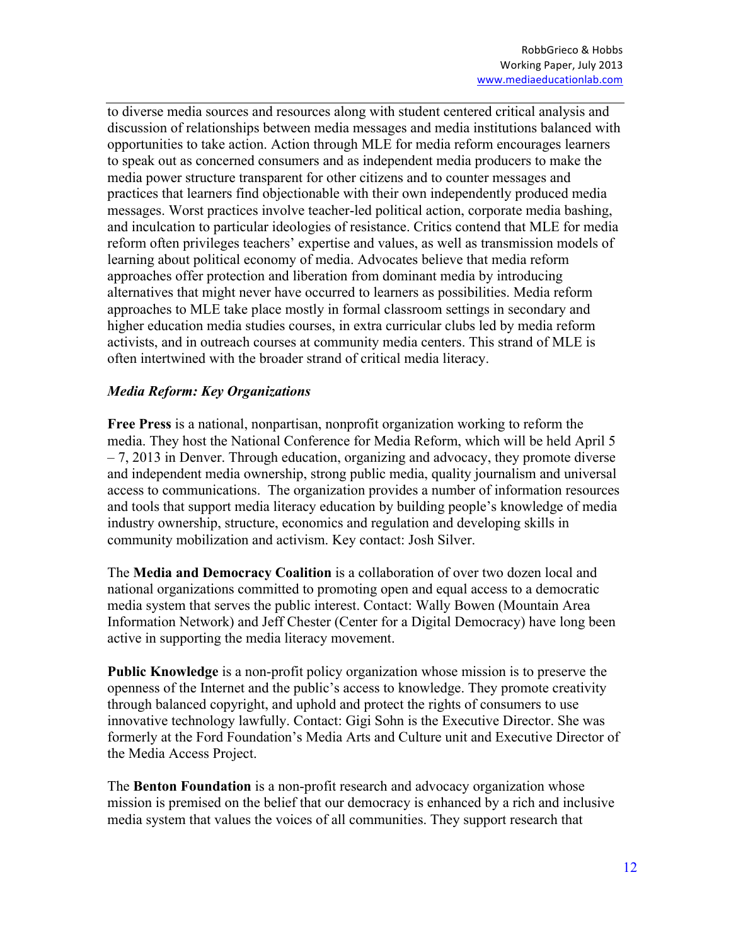to diverse media sources and resources along with student centered critical analysis and discussion of relationships between media messages and media institutions balanced with opportunities to take action. Action through MLE for media reform encourages learners to speak out as concerned consumers and as independent media producers to make the media power structure transparent for other citizens and to counter messages and practices that learners find objectionable with their own independently produced media messages. Worst practices involve teacher-led political action, corporate media bashing, and inculcation to particular ideologies of resistance. Critics contend that MLE for media reform often privileges teachers' expertise and values, as well as transmission models of learning about political economy of media. Advocates believe that media reform approaches offer protection and liberation from dominant media by introducing alternatives that might never have occurred to learners as possibilities. Media reform approaches to MLE take place mostly in formal classroom settings in secondary and higher education media studies courses, in extra curricular clubs led by media reform activists, and in outreach courses at community media centers. This strand of MLE is often intertwined with the broader strand of critical media literacy.

#### *Media Reform: Key Organizations*

**Free Press** is a national, nonpartisan, nonprofit organization working to reform the media. They host the National Conference for Media Reform, which will be held April 5 – 7, 2013 in Denver. Through education, organizing and advocacy, they promote diverse and independent media ownership, strong public media, quality journalism and universal access to communications. The organization provides a number of information resources and tools that support media literacy education by building people's knowledge of media industry ownership, structure, economics and regulation and developing skills in community mobilization and activism. Key contact: Josh Silver.

The **Media and Democracy Coalition** is a collaboration of over two dozen local and national organizations committed to promoting open and equal access to a democratic media system that serves the public interest. Contact: Wally Bowen (Mountain Area Information Network) and Jeff Chester (Center for a Digital Democracy) have long been active in supporting the media literacy movement.

**Public Knowledge** is a non-profit policy organization whose mission is to preserve the openness of the Internet and the public's access to knowledge. They promote creativity through balanced copyright, and uphold and protect the rights of consumers to use innovative technology lawfully. Contact: Gigi Sohn is the Executive Director. She was formerly at the Ford Foundation's Media Arts and Culture unit and Executive Director of the Media Access Project.

The **Benton Foundation** is a non-profit research and advocacy organization whose mission is premised on the belief that our democracy is enhanced by a rich and inclusive media system that values the voices of all communities. They support research that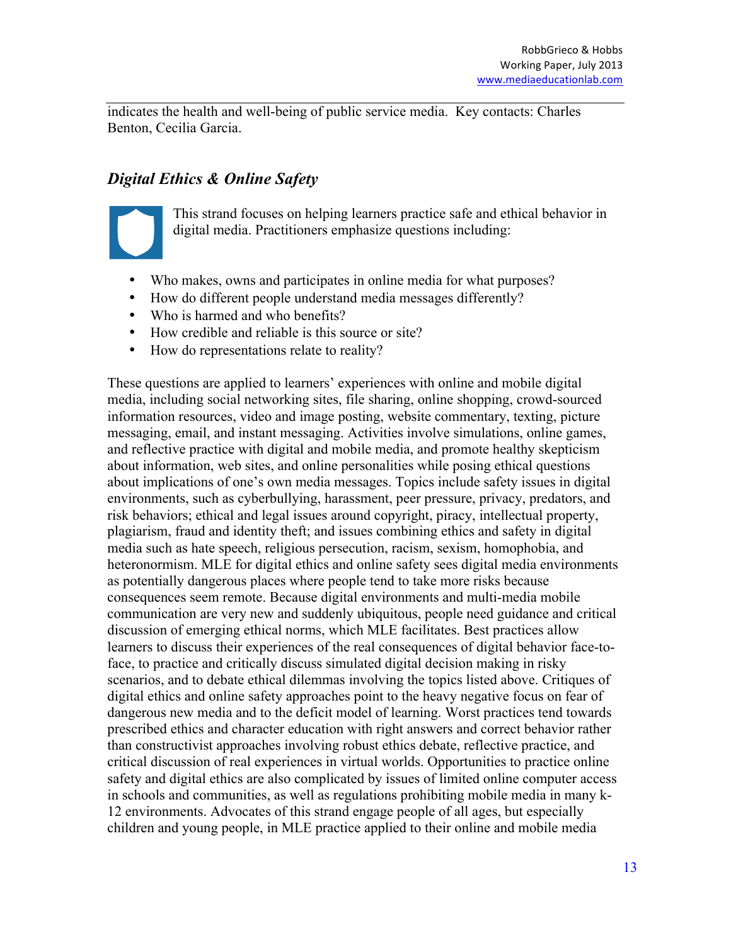indicates the health and well-being of public service media. Key contacts: Charles Benton, Cecilia Garcia.

# *Digital Ethics & Online Safety*



This strand focuses on helping learners practice safe and ethical behavior in digital media. Practitioners emphasize questions including:

- Who makes, owns and participates in online media for what purposes?
- How do different people understand media messages differently?
- Who is harmed and who benefits?
- How credible and reliable is this source or site?
- How do representations relate to reality?

These questions are applied to learners' experiences with online and mobile digital media, including social networking sites, file sharing, online shopping, crowd-sourced information resources, video and image posting, website commentary, texting, picture messaging, email, and instant messaging. Activities involve simulations, online games, and reflective practice with digital and mobile media, and promote healthy skepticism about information, web sites, and online personalities while posing ethical questions about implications of one's own media messages. Topics include safety issues in digital environments, such as cyberbullying, harassment, peer pressure, privacy, predators, and risk behaviors; ethical and legal issues around copyright, piracy, intellectual property, plagiarism, fraud and identity theft; and issues combining ethics and safety in digital media such as hate speech, religious persecution, racism, sexism, homophobia, and heteronormism. MLE for digital ethics and online safety sees digital media environments as potentially dangerous places where people tend to take more risks because consequences seem remote. Because digital environments and multi-media mobile communication are very new and suddenly ubiquitous, people need guidance and critical discussion of emerging ethical norms, which MLE facilitates. Best practices allow learners to discuss their experiences of the real consequences of digital behavior face-toface, to practice and critically discuss simulated digital decision making in risky scenarios, and to debate ethical dilemmas involving the topics listed above. Critiques of digital ethics and online safety approaches point to the heavy negative focus on fear of dangerous new media and to the deficit model of learning. Worst practices tend towards prescribed ethics and character education with right answers and correct behavior rather than constructivist approaches involving robust ethics debate, reflective practice, and critical discussion of real experiences in virtual worlds. Opportunities to practice online safety and digital ethics are also complicated by issues of limited online computer access in schools and communities, as well as regulations prohibiting mobile media in many k-12 environments. Advocates of this strand engage people of all ages, but especially children and young people, in MLE practice applied to their online and mobile media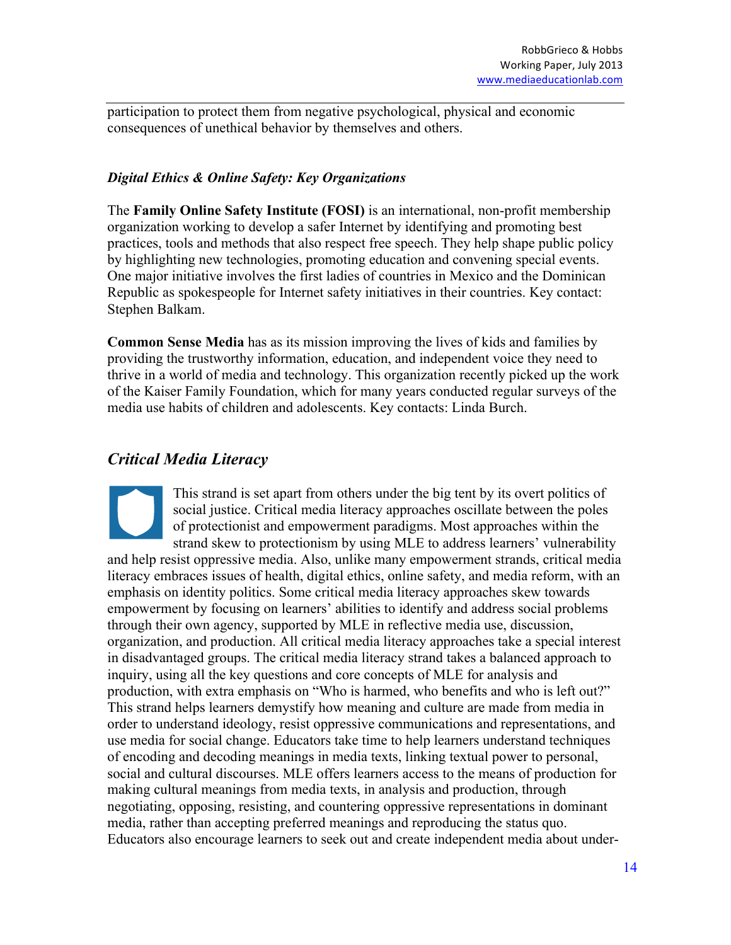participation to protect them from negative psychological, physical and economic consequences of unethical behavior by themselves and others.

### *Digital Ethics & Online Safety: Key Organizations*

The **Family Online Safety Institute (FOSI)** is an international, non-profit membership organization working to develop a safer Internet by identifying and promoting best practices, tools and methods that also respect free speech. They help shape public policy by highlighting new technologies, promoting education and convening special events. One major initiative involves the first ladies of countries in Mexico and the Dominican Republic as spokespeople for Internet safety initiatives in their countries. Key contact: Stephen Balkam.

**Common Sense Media** has as its mission improving the lives of kids and families by providing the trustworthy information, education, and independent voice they need to thrive in a world of media and technology. This organization recently picked up the work of the Kaiser Family Foundation, which for many years conducted regular surveys of the media use habits of children and adolescents. Key contacts: Linda Burch.

# *Critical Media Literacy*

This strand is set apart from others under the big tent by its overt politics of social justice. Critical media literacy approaches oscillate between the poles of protectionist and empowerment paradigms. Most approaches within the strand skew to protectionism by using MLE to address learners' vulnerability and help resist oppressive media. Also, unlike many empowerment strands, critical media literacy embraces issues of health, digital ethics, online safety, and media reform, with an emphasis on identity politics. Some critical media literacy approaches skew towards empowerment by focusing on learners' abilities to identify and address social problems through their own agency, supported by MLE in reflective media use, discussion, organization, and production. All critical media literacy approaches take a special interest in disadvantaged groups. The critical media literacy strand takes a balanced approach to inquiry, using all the key questions and core concepts of MLE for analysis and production, with extra emphasis on "Who is harmed, who benefits and who is left out?" This strand helps learners demystify how meaning and culture are made from media in order to understand ideology, resist oppressive communications and representations, and use media for social change. Educators take time to help learners understand techniques of encoding and decoding meanings in media texts, linking textual power to personal, social and cultural discourses. MLE offers learners access to the means of production for making cultural meanings from media texts, in analysis and production, through negotiating, opposing, resisting, and countering oppressive representations in dominant media, rather than accepting preferred meanings and reproducing the status quo. Educators also encourage learners to seek out and create independent media about under-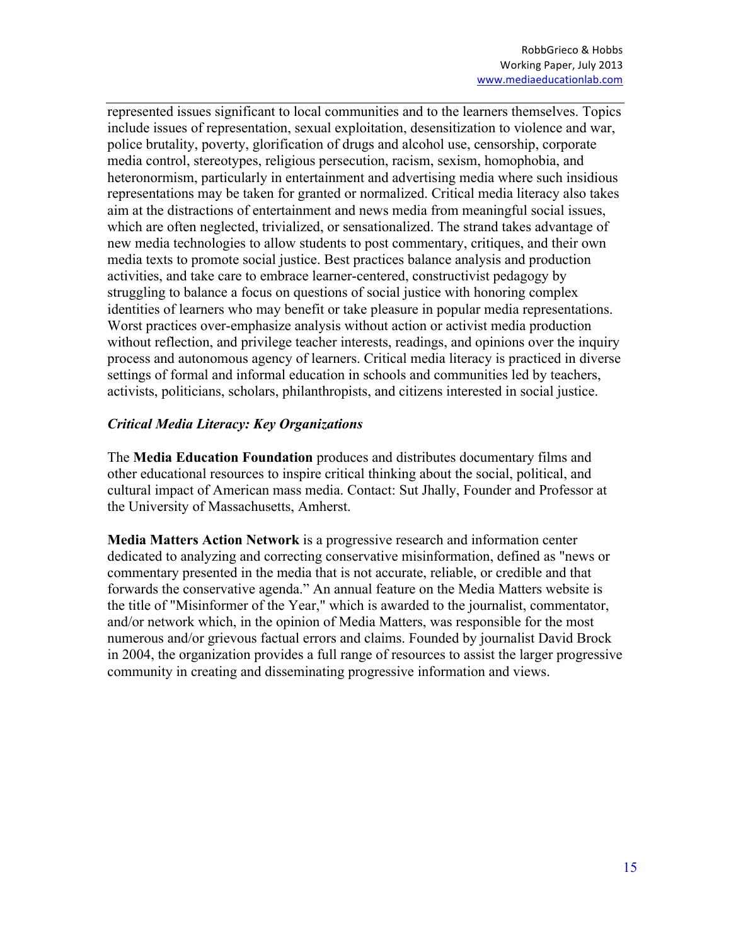represented issues significant to local communities and to the learners themselves. Topics include issues of representation, sexual exploitation, desensitization to violence and war, police brutality, poverty, glorification of drugs and alcohol use, censorship, corporate media control, stereotypes, religious persecution, racism, sexism, homophobia, and heteronormism, particularly in entertainment and advertising media where such insidious representations may be taken for granted or normalized. Critical media literacy also takes aim at the distractions of entertainment and news media from meaningful social issues, which are often neglected, trivialized, or sensationalized. The strand takes advantage of new media technologies to allow students to post commentary, critiques, and their own media texts to promote social justice. Best practices balance analysis and production activities, and take care to embrace learner-centered, constructivist pedagogy by struggling to balance a focus on questions of social justice with honoring complex identities of learners who may benefit or take pleasure in popular media representations. Worst practices over-emphasize analysis without action or activist media production without reflection, and privilege teacher interests, readings, and opinions over the inquiry process and autonomous agency of learners. Critical media literacy is practiced in diverse settings of formal and informal education in schools and communities led by teachers, activists, politicians, scholars, philanthropists, and citizens interested in social justice.

#### *Critical Media Literacy: Key Organizations*

The **Media Education Foundation** produces and distributes documentary films and other educational resources to inspire critical thinking about the social, political, and cultural impact of American mass media. Contact: Sut Jhally, Founder and Professor at the University of Massachusetts, Amherst.

**Media Matters Action Network** is a progressive research and information center dedicated to analyzing and correcting conservative misinformation, defined as "news or commentary presented in the media that is not accurate, reliable, or credible and that forwards the conservative agenda." An annual feature on the Media Matters website is the title of "Misinformer of the Year," which is awarded to the journalist, commentator, and/or network which, in the opinion of Media Matters, was responsible for the most numerous and/or grievous factual errors and claims. Founded by journalist David Brock in 2004, the organization provides a full range of resources to assist the larger progressive community in creating and disseminating progressive information and views.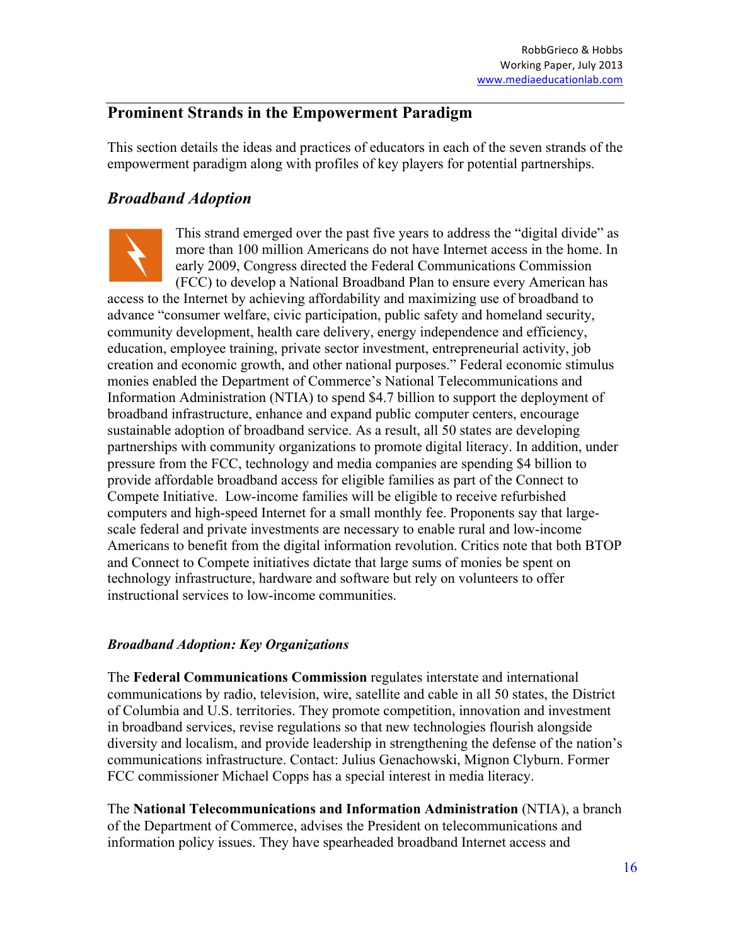## **Prominent Strands in the Empowerment Paradigm**

This section details the ideas and practices of educators in each of the seven strands of the empowerment paradigm along with profiles of key players for potential partnerships.

# *Broadband Adoption*



This strand emerged over the past five years to address the "digital divide" as more than 100 million Americans do not have Internet access in the home. In early 2009, Congress directed the Federal Communications Commission (FCC) to develop a National Broadband Plan to ensure every American has

access to the Internet by achieving affordability and maximizing use of broadband to advance "consumer welfare, civic participation, public safety and homeland security, community development, health care delivery, energy independence and efficiency, education, employee training, private sector investment, entrepreneurial activity, job creation and economic growth, and other national purposes." Federal economic stimulus monies enabled the Department of Commerce's National Telecommunications and Information Administration (NTIA) to spend \$4.7 billion to support the deployment of broadband infrastructure, enhance and expand public computer centers, encourage sustainable adoption of broadband service. As a result, all 50 states are developing partnerships with community organizations to promote digital literacy. In addition, under pressure from the FCC, technology and media companies are spending \$4 billion to provide affordable broadband access for eligible families as part of the Connect to Compete Initiative. Low-income families will be eligible to receive refurbished computers and high-speed Internet for a small monthly fee. Proponents say that largescale federal and private investments are necessary to enable rural and low-income Americans to benefit from the digital information revolution. Critics note that both BTOP and Connect to Compete initiatives dictate that large sums of monies be spent on technology infrastructure, hardware and software but rely on volunteers to offer instructional services to low-income communities.

### *Broadband Adoption: Key Organizations*

The **Federal Communications Commission** regulates interstate and international communications by radio, television, wire, satellite and cable in all 50 states, the District of Columbia and U.S. territories. They promote competition, innovation and investment in broadband services, revise regulations so that new technologies flourish alongside diversity and localism, and provide leadership in strengthening the defense of the nation's communications infrastructure. Contact: Julius Genachowski, Mignon Clyburn. Former FCC commissioner Michael Copps has a special interest in media literacy.

The **National Telecommunications and Information Administration** (NTIA), a branch of the Department of Commerce, advises the President on telecommunications and information policy issues. They have spearheaded broadband Internet access and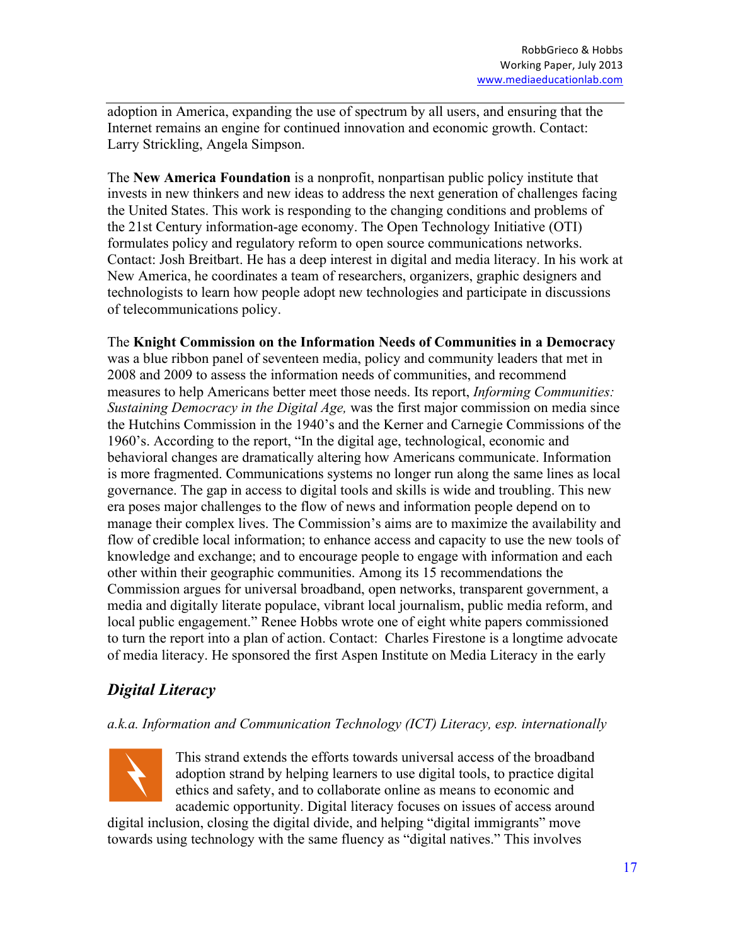adoption in America, expanding the use of spectrum by all users, and ensuring that the Internet remains an engine for continued innovation and economic growth. Contact: Larry Strickling, Angela Simpson.

The **New America Foundation** is a nonprofit, nonpartisan public policy institute that invests in new thinkers and new ideas to address the next generation of challenges facing the United States. This work is responding to the changing conditions and problems of the 21st Century information-age economy. The Open Technology Initiative (OTI) formulates policy and regulatory reform to open source communications networks. Contact: Josh Breitbart. He has a deep interest in digital and media literacy. In his work at New America, he coordinates a team of researchers, organizers, graphic designers and technologists to learn how people adopt new technologies and participate in discussions of telecommunications policy.

The **Knight Commission on the Information Needs of Communities in a Democracy**  was a blue ribbon panel of seventeen media, policy and community leaders that met in 2008 and 2009 to assess the information needs of communities, and recommend measures to help Americans better meet those needs. Its report, *Informing Communities: Sustaining Democracy in the Digital Age,* was the first major commission on media since the Hutchins Commission in the 1940's and the Kerner and Carnegie Commissions of the 1960's. According to the report, "In the digital age, technological, economic and behavioral changes are dramatically altering how Americans communicate. Information is more fragmented. Communications systems no longer run along the same lines as local governance. The gap in access to digital tools and skills is wide and troubling. This new era poses major challenges to the flow of news and information people depend on to manage their complex lives. The Commission's aims are to maximize the availability and flow of credible local information; to enhance access and capacity to use the new tools of knowledge and exchange; and to encourage people to engage with information and each other within their geographic communities. Among its 15 recommendations the Commission argues for universal broadband, open networks, transparent government, a media and digitally literate populace, vibrant local journalism, public media reform, and local public engagement." Renee Hobbs wrote one of eight white papers commissioned to turn the report into a plan of action. Contact: Charles Firestone is a longtime advocate of media literacy. He sponsored the first Aspen Institute on Media Literacy in the early

# *Digital Literacy*

### *a.k.a. Information and Communication Technology (ICT) Literacy, esp. internationally*



This strand extends the efforts towards universal access of the broadband adoption strand by helping learners to use digital tools, to practice digital ethics and safety, and to collaborate online as means to economic and academic opportunity. Digital literacy focuses on issues of access around

digital inclusion, closing the digital divide, and helping "digital immigrants" move towards using technology with the same fluency as "digital natives." This involves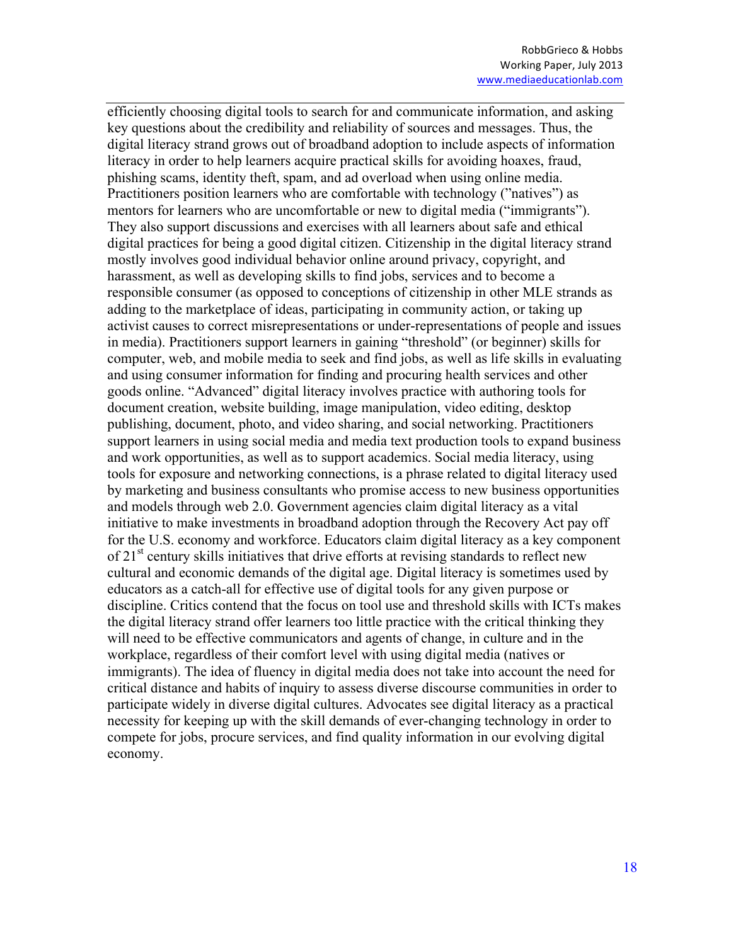efficiently choosing digital tools to search for and communicate information, and asking key questions about the credibility and reliability of sources and messages. Thus, the digital literacy strand grows out of broadband adoption to include aspects of information literacy in order to help learners acquire practical skills for avoiding hoaxes, fraud, phishing scams, identity theft, spam, and ad overload when using online media. Practitioners position learners who are comfortable with technology ("natives") as mentors for learners who are uncomfortable or new to digital media ("immigrants"). They also support discussions and exercises with all learners about safe and ethical digital practices for being a good digital citizen. Citizenship in the digital literacy strand mostly involves good individual behavior online around privacy, copyright, and harassment, as well as developing skills to find jobs, services and to become a responsible consumer (as opposed to conceptions of citizenship in other MLE strands as adding to the marketplace of ideas, participating in community action, or taking up activist causes to correct misrepresentations or under-representations of people and issues in media). Practitioners support learners in gaining "threshold" (or beginner) skills for computer, web, and mobile media to seek and find jobs, as well as life skills in evaluating and using consumer information for finding and procuring health services and other goods online. "Advanced" digital literacy involves practice with authoring tools for document creation, website building, image manipulation, video editing, desktop publishing, document, photo, and video sharing, and social networking. Practitioners support learners in using social media and media text production tools to expand business and work opportunities, as well as to support academics. Social media literacy, using tools for exposure and networking connections, is a phrase related to digital literacy used by marketing and business consultants who promise access to new business opportunities and models through web 2.0. Government agencies claim digital literacy as a vital initiative to make investments in broadband adoption through the Recovery Act pay off for the U.S. economy and workforce. Educators claim digital literacy as a key component of  $21<sup>st</sup>$  century skills initiatives that drive efforts at revising standards to reflect new cultural and economic demands of the digital age. Digital literacy is sometimes used by educators as a catch-all for effective use of digital tools for any given purpose or discipline. Critics contend that the focus on tool use and threshold skills with ICTs makes the digital literacy strand offer learners too little practice with the critical thinking they will need to be effective communicators and agents of change, in culture and in the workplace, regardless of their comfort level with using digital media (natives or immigrants). The idea of fluency in digital media does not take into account the need for critical distance and habits of inquiry to assess diverse discourse communities in order to participate widely in diverse digital cultures. Advocates see digital literacy as a practical necessity for keeping up with the skill demands of ever-changing technology in order to compete for jobs, procure services, and find quality information in our evolving digital economy.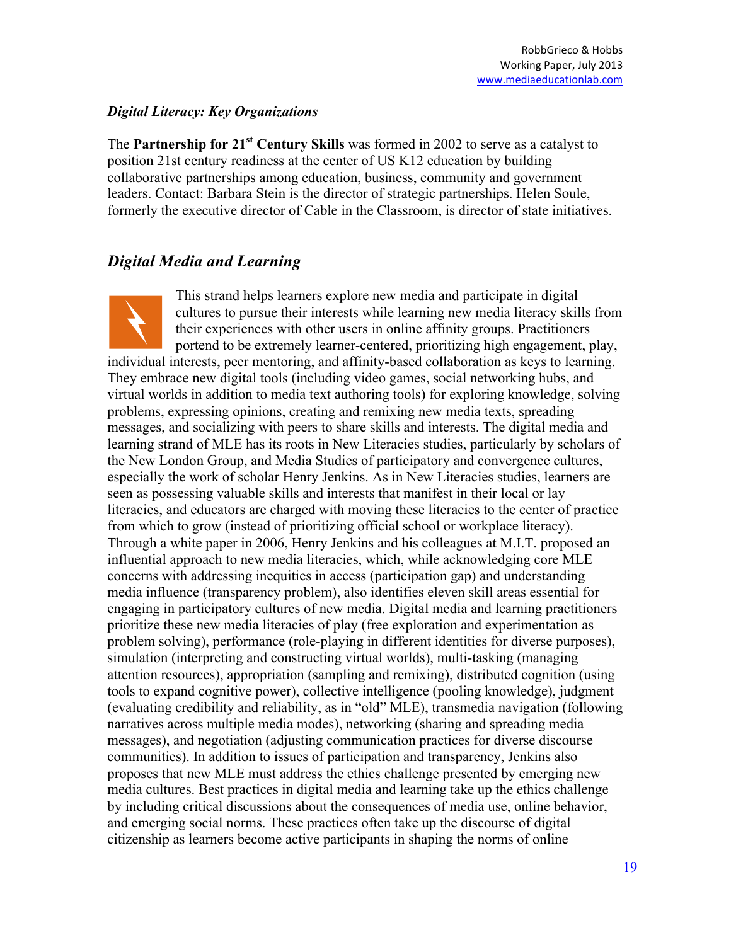### *Digital Literacy: Key Organizations*

The **Partnership for 21st Century Skills** was formed in 2002 to serve as a catalyst to position 21st century readiness at the center of US K12 education by building collaborative partnerships among education, business, community and government leaders. Contact: Barbara Stein is the director of strategic partnerships. Helen Soule, formerly the executive director of Cable in the Classroom, is director of state initiatives.

# *Digital Media and Learning*

This strand helps learners explore new media and participate in digital cultures to pursue their interests while learning new media literacy skills from their experiences with other users in online affinity groups. Practitioners portend to be extremely learner-centered, prioritizing high engagement, play, individual interests, peer mentoring, and affinity-based collaboration as keys to learning. They embrace new digital tools (including video games, social networking hubs, and virtual worlds in addition to media text authoring tools) for exploring knowledge, solving problems, expressing opinions, creating and remixing new media texts, spreading messages, and socializing with peers to share skills and interests. The digital media and learning strand of MLE has its roots in New Literacies studies, particularly by scholars of the New London Group, and Media Studies of participatory and convergence cultures, especially the work of scholar Henry Jenkins. As in New Literacies studies, learners are seen as possessing valuable skills and interests that manifest in their local or lay literacies, and educators are charged with moving these literacies to the center of practice from which to grow (instead of prioritizing official school or workplace literacy). Through a white paper in 2006, Henry Jenkins and his colleagues at M.I.T. proposed an influential approach to new media literacies, which, while acknowledging core MLE concerns with addressing inequities in access (participation gap) and understanding media influence (transparency problem), also identifies eleven skill areas essential for engaging in participatory cultures of new media. Digital media and learning practitioners prioritize these new media literacies of play (free exploration and experimentation as problem solving), performance (role-playing in different identities for diverse purposes), simulation (interpreting and constructing virtual worlds), multi-tasking (managing attention resources), appropriation (sampling and remixing), distributed cognition (using tools to expand cognitive power), collective intelligence (pooling knowledge), judgment (evaluating credibility and reliability, as in "old" MLE), transmedia navigation (following narratives across multiple media modes), networking (sharing and spreading media messages), and negotiation (adjusting communication practices for diverse discourse communities). In addition to issues of participation and transparency, Jenkins also proposes that new MLE must address the ethics challenge presented by emerging new media cultures. Best practices in digital media and learning take up the ethics challenge by including critical discussions about the consequences of media use, online behavior, and emerging social norms. These practices often take up the discourse of digital citizenship as learners become active participants in shaping the norms of online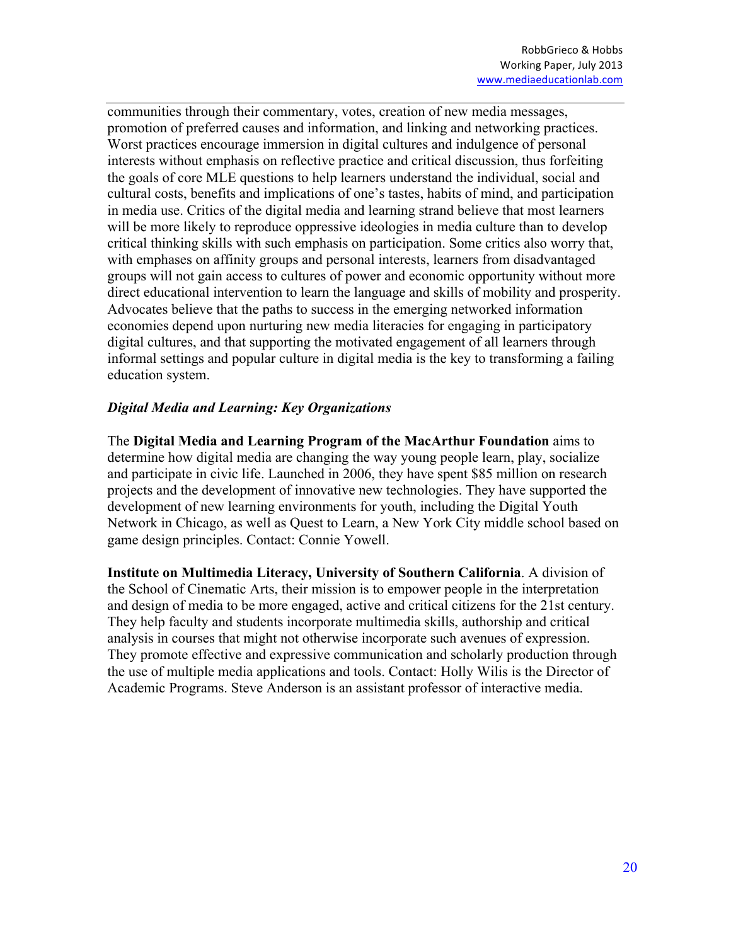communities through their commentary, votes, creation of new media messages, promotion of preferred causes and information, and linking and networking practices. Worst practices encourage immersion in digital cultures and indulgence of personal interests without emphasis on reflective practice and critical discussion, thus forfeiting the goals of core MLE questions to help learners understand the individual, social and cultural costs, benefits and implications of one's tastes, habits of mind, and participation in media use. Critics of the digital media and learning strand believe that most learners will be more likely to reproduce oppressive ideologies in media culture than to develop critical thinking skills with such emphasis on participation. Some critics also worry that, with emphases on affinity groups and personal interests, learners from disadvantaged groups will not gain access to cultures of power and economic opportunity without more direct educational intervention to learn the language and skills of mobility and prosperity. Advocates believe that the paths to success in the emerging networked information economies depend upon nurturing new media literacies for engaging in participatory digital cultures, and that supporting the motivated engagement of all learners through informal settings and popular culture in digital media is the key to transforming a failing education system.

### *Digital Media and Learning: Key Organizations*

The **Digital Media and Learning Program of the MacArthur Foundation** aims to determine how digital media are changing the way young people learn, play, socialize and participate in civic life. Launched in 2006, they have spent \$85 million on research projects and the development of innovative new technologies. They have supported the development of new learning environments for youth, including the Digital Youth Network in Chicago, as well as Quest to Learn, a New York City middle school based on game design principles. Contact: Connie Yowell.

**Institute on Multimedia Literacy, University of Southern California**. A division of the School of Cinematic Arts, their mission is to empower people in the interpretation and design of media to be more engaged, active and critical citizens for the 21st century. They help faculty and students incorporate multimedia skills, authorship and critical analysis in courses that might not otherwise incorporate such avenues of expression. They promote effective and expressive communication and scholarly production through the use of multiple media applications and tools. Contact: Holly Wilis is the Director of Academic Programs. Steve Anderson is an assistant professor of interactive media.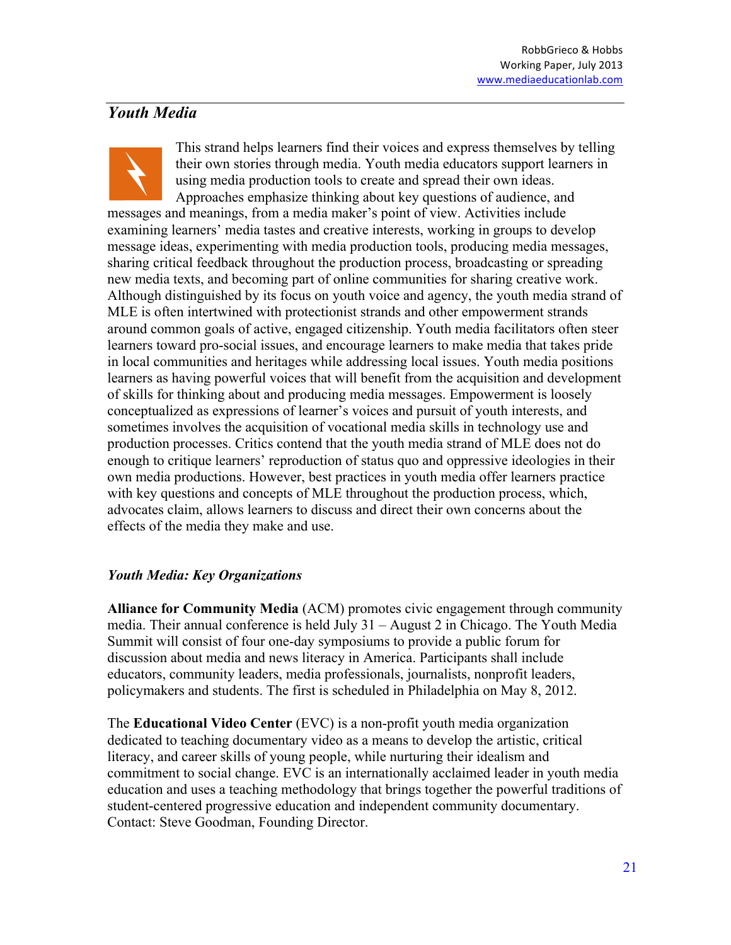## *Youth Media*

This strand helps learners find their voices and express themselves by telling their own stories through media. Youth media educators support learners in using media production tools to create and spread their own ideas. Approaches emphasize thinking about key questions of audience, and messages and meanings, from a media maker's point of view. Activities include examining learners' media tastes and creative interests, working in groups to develop message ideas, experimenting with media production tools, producing media messages, sharing critical feedback throughout the production process, broadcasting or spreading new media texts, and becoming part of online communities for sharing creative work. Although distinguished by its focus on youth voice and agency, the youth media strand of MLE is often intertwined with protectionist strands and other empowerment strands around common goals of active, engaged citizenship. Youth media facilitators often steer learners toward pro-social issues, and encourage learners to make media that takes pride in local communities and heritages while addressing local issues. Youth media positions learners as having powerful voices that will benefit from the acquisition and development of skills for thinking about and producing media messages. Empowerment is loosely conceptualized as expressions of learner's voices and pursuit of youth interests, and sometimes involves the acquisition of vocational media skills in technology use and production processes. Critics contend that the youth media strand of MLE does not do enough to critique learners' reproduction of status quo and oppressive ideologies in their own media productions. However, best practices in youth media offer learners practice with key questions and concepts of MLE throughout the production process, which, advocates claim, allows learners to discuss and direct their own concerns about the effects of the media they make and use.

### *Youth Media: Key Organizations*

**Alliance for Community Media** (ACM) promotes civic engagement through community media. Their annual conference is held July 31 – August 2 in Chicago. The Youth Media Summit will consist of four one-day symposiums to provide a public forum for discussion about media and news literacy in America. Participants shall include educators, community leaders, media professionals, journalists, nonprofit leaders, policymakers and students. The first is scheduled in Philadelphia on May 8, 2012.

The **Educational Video Center** (EVC) is a non-profit youth media organization dedicated to teaching documentary video as a means to develop the artistic, critical literacy, and career skills of young people, while nurturing their idealism and commitment to social change. EVC is an internationally acclaimed leader in youth media education and uses a teaching methodology that brings together the powerful traditions of student-centered progressive education and independent community documentary. Contact: Steve Goodman, Founding Director.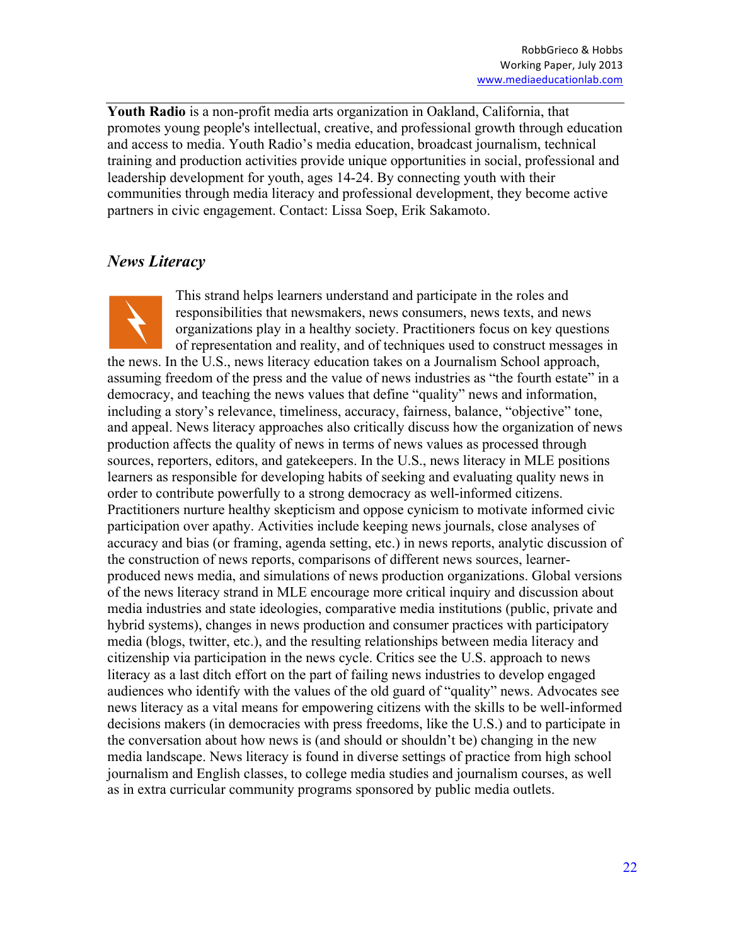**Youth Radio** is a non-profit media arts organization in Oakland, California, that promotes young people's intellectual, creative, and professional growth through education and access to media. Youth Radio's media education, broadcast journalism, technical training and production activities provide unique opportunities in social, professional and leadership development for youth, ages 14-24. By connecting youth with their communities through media literacy and professional development, they become active partners in civic engagement. Contact: Lissa Soep, Erik Sakamoto.

## *News Literacy*



This strand helps learners understand and participate in the roles and responsibilities that newsmakers, news consumers, news texts, and news organizations play in a healthy society. Practitioners focus on key questions of representation and reality, and of techniques used to construct messages in the news. In the U.S., news literacy education takes on a Journalism School approach, assuming freedom of the press and the value of news industries as "the fourth estate" in a democracy, and teaching the news values that define "quality" news and information, including a story's relevance, timeliness, accuracy, fairness, balance, "objective" tone, and appeal. News literacy approaches also critically discuss how the organization of news production affects the quality of news in terms of news values as processed through sources, reporters, editors, and gatekeepers. In the U.S., news literacy in MLE positions learners as responsible for developing habits of seeking and evaluating quality news in order to contribute powerfully to a strong democracy as well-informed citizens. Practitioners nurture healthy skepticism and oppose cynicism to motivate informed civic participation over apathy. Activities include keeping news journals, close analyses of accuracy and bias (or framing, agenda setting, etc.) in news reports, analytic discussion of the construction of news reports, comparisons of different news sources, learnerproduced news media, and simulations of news production organizations. Global versions of the news literacy strand in MLE encourage more critical inquiry and discussion about media industries and state ideologies, comparative media institutions (public, private and hybrid systems), changes in news production and consumer practices with participatory media (blogs, twitter, etc.), and the resulting relationships between media literacy and citizenship via participation in the news cycle. Critics see the U.S. approach to news literacy as a last ditch effort on the part of failing news industries to develop engaged audiences who identify with the values of the old guard of "quality" news. Advocates see news literacy as a vital means for empowering citizens with the skills to be well-informed decisions makers (in democracies with press freedoms, like the U.S.) and to participate in the conversation about how news is (and should or shouldn't be) changing in the new media landscape. News literacy is found in diverse settings of practice from high school journalism and English classes, to college media studies and journalism courses, as well as in extra curricular community programs sponsored by public media outlets.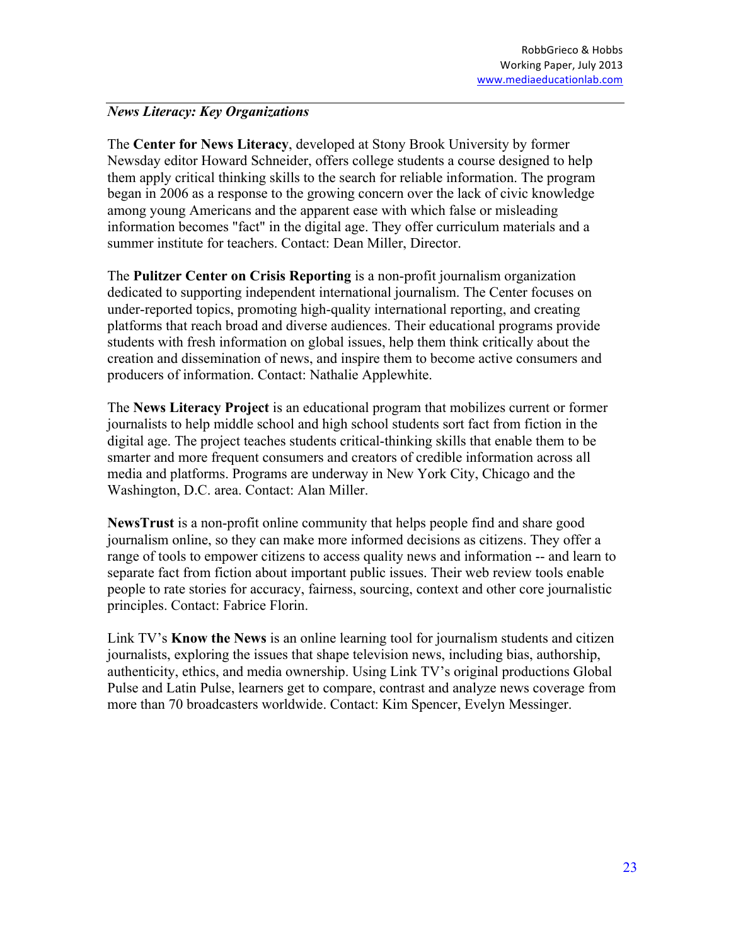#### *News Literacy: Key Organizations*

The **Center for News Literacy**, developed at Stony Brook University by former Newsday editor Howard Schneider, offers college students a course designed to help them apply critical thinking skills to the search for reliable information. The program began in 2006 as a response to the growing concern over the lack of civic knowledge among young Americans and the apparent ease with which false or misleading information becomes "fact" in the digital age. They offer curriculum materials and a summer institute for teachers. Contact: Dean Miller, Director.

The **Pulitzer Center on Crisis Reporting** is a non-profit journalism organization dedicated to supporting independent international journalism. The Center focuses on under-reported topics, promoting high-quality international reporting, and creating platforms that reach broad and diverse audiences. Their educational programs provide students with fresh information on global issues, help them think critically about the creation and dissemination of news, and inspire them to become active consumers and producers of information. Contact: Nathalie Applewhite.

The **News Literacy Project** is an educational program that mobilizes current or former journalists to help middle school and high school students sort fact from fiction in the digital age. The project teaches students critical-thinking skills that enable them to be smarter and more frequent consumers and creators of credible information across all media and platforms. Programs are underway in New York City, Chicago and the Washington, D.C. area. Contact: Alan Miller.

**NewsTrust** is a non-profit online community that helps people find and share good journalism online, so they can make more informed decisions as citizens. They offer a range of tools to empower citizens to access quality news and information -- and learn to separate fact from fiction about important public issues. Their web review tools enable people to rate stories for accuracy, fairness, sourcing, context and other core journalistic principles. Contact: Fabrice Florin.

Link TV's **Know the News** is an online learning tool for journalism students and citizen journalists, exploring the issues that shape television news, including bias, authorship, authenticity, ethics, and media ownership. Using Link TV's original productions Global Pulse and Latin Pulse, learners get to compare, contrast and analyze news coverage from more than 70 broadcasters worldwide. Contact: Kim Spencer, Evelyn Messinger.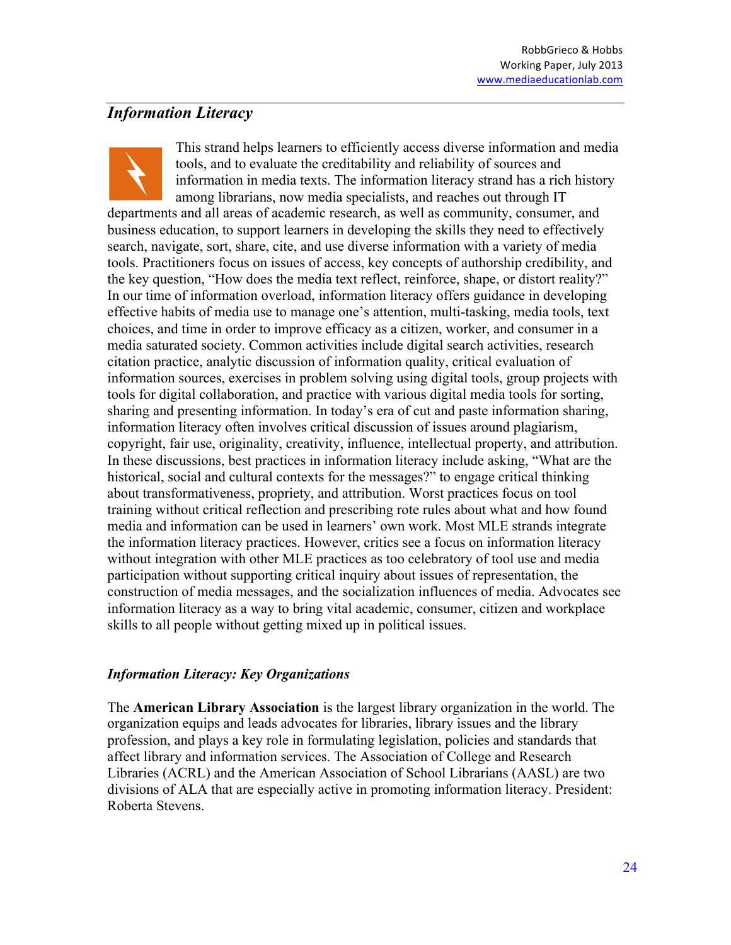### *Information Literacy*

This strand helps learners to efficiently access diverse information and media tools, and to evaluate the creditability and reliability of sources and information in media texts. The information literacy strand has a rich history among librarians, now media specialists, and reaches out through IT departments and all areas of academic research, as well as community, consumer, and business education, to support learners in developing the skills they need to effectively search, navigate, sort, share, cite, and use diverse information with a variety of media tools. Practitioners focus on issues of access, key concepts of authorship credibility, and the key question, "How does the media text reflect, reinforce, shape, or distort reality?" In our time of information overload, information literacy offers guidance in developing effective habits of media use to manage one's attention, multi-tasking, media tools, text choices, and time in order to improve efficacy as a citizen, worker, and consumer in a media saturated society. Common activities include digital search activities, research citation practice, analytic discussion of information quality, critical evaluation of information sources, exercises in problem solving using digital tools, group projects with tools for digital collaboration, and practice with various digital media tools for sorting, sharing and presenting information. In today's era of cut and paste information sharing, information literacy often involves critical discussion of issues around plagiarism, copyright, fair use, originality, creativity, influence, intellectual property, and attribution. In these discussions, best practices in information literacy include asking, "What are the historical, social and cultural contexts for the messages?" to engage critical thinking about transformativeness, propriety, and attribution. Worst practices focus on tool training without critical reflection and prescribing rote rules about what and how found media and information can be used in learners' own work. Most MLE strands integrate the information literacy practices. However, critics see a focus on information literacy without integration with other MLE practices as too celebratory of tool use and media participation without supporting critical inquiry about issues of representation, the construction of media messages, and the socialization influences of media. Advocates see information literacy as a way to bring vital academic, consumer, citizen and workplace skills to all people without getting mixed up in political issues.

### *Information Literacy: Key Organizations*

The **American Library Association** is the largest library organization in the world. The organization equips and leads advocates for libraries, library issues and the library profession, and plays a key role in formulating legislation, policies and standards that affect library and information services. The Association of College and Research Libraries (ACRL) and the American Association of School Librarians (AASL) are two divisions of ALA that are especially active in promoting information literacy. President: Roberta Stevens.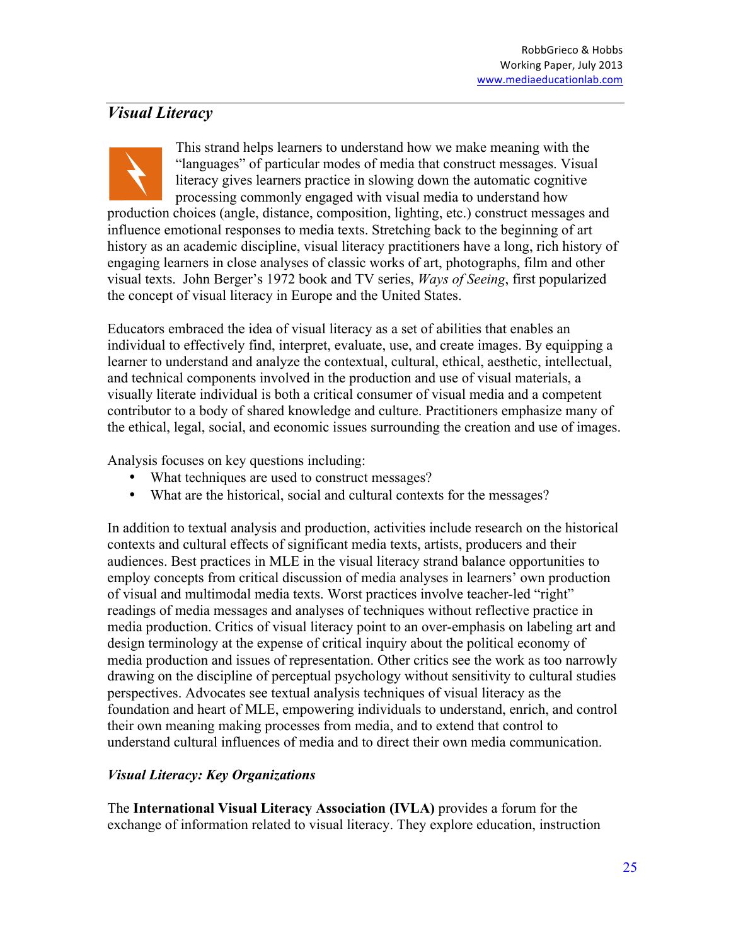# *Visual Literacy*

This strand helps learners to understand how we make meaning with the "languages" of particular modes of media that construct messages. Visual literacy gives learners practice in slowing down the automatic cognitive processing commonly engaged with visual media to understand how production choices (angle, distance, composition, lighting, etc.) construct messages and influence emotional responses to media texts. Stretching back to the beginning of art history as an academic discipline, visual literacy practitioners have a long, rich history of engaging learners in close analyses of classic works of art, photographs, film and other visual texts. John Berger's 1972 book and TV series, *Ways of Seeing*, first popularized the concept of visual literacy in Europe and the United States.

Educators embraced the idea of visual literacy as a set of abilities that enables an individual to effectively find, interpret, evaluate, use, and create images. By equipping a learner to understand and analyze the contextual, cultural, ethical, aesthetic, intellectual, and technical components involved in the production and use of visual materials, a visually literate individual is both a critical consumer of visual media and a competent contributor to a body of shared knowledge and culture. Practitioners emphasize many of the ethical, legal, social, and economic issues surrounding the creation and use of images.

Analysis focuses on key questions including:

- What techniques are used to construct messages?
- What are the historical, social and cultural contexts for the messages?

In addition to textual analysis and production, activities include research on the historical contexts and cultural effects of significant media texts, artists, producers and their audiences. Best practices in MLE in the visual literacy strand balance opportunities to employ concepts from critical discussion of media analyses in learners' own production of visual and multimodal media texts. Worst practices involve teacher-led "right" readings of media messages and analyses of techniques without reflective practice in media production. Critics of visual literacy point to an over-emphasis on labeling art and design terminology at the expense of critical inquiry about the political economy of media production and issues of representation. Other critics see the work as too narrowly drawing on the discipline of perceptual psychology without sensitivity to cultural studies perspectives. Advocates see textual analysis techniques of visual literacy as the foundation and heart of MLE, empowering individuals to understand, enrich, and control their own meaning making processes from media, and to extend that control to understand cultural influences of media and to direct their own media communication.

### *Visual Literacy: Key Organizations*

The **International Visual Literacy Association (IVLA)** provides a forum for the exchange of information related to visual literacy. They explore education, instruction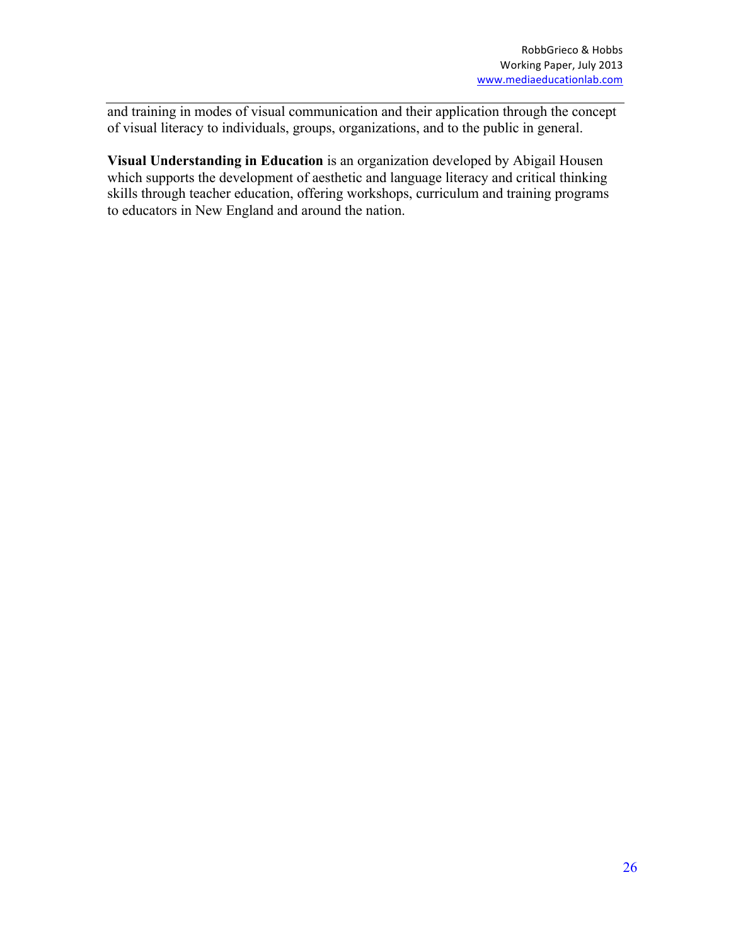and training in modes of visual communication and their application through the concept of visual literacy to individuals, groups, organizations, and to the public in general.

**Visual Understanding in Education** is an organization developed by Abigail Housen which supports the development of aesthetic and language literacy and critical thinking skills through teacher education, offering workshops, curriculum and training programs to educators in New England and around the nation.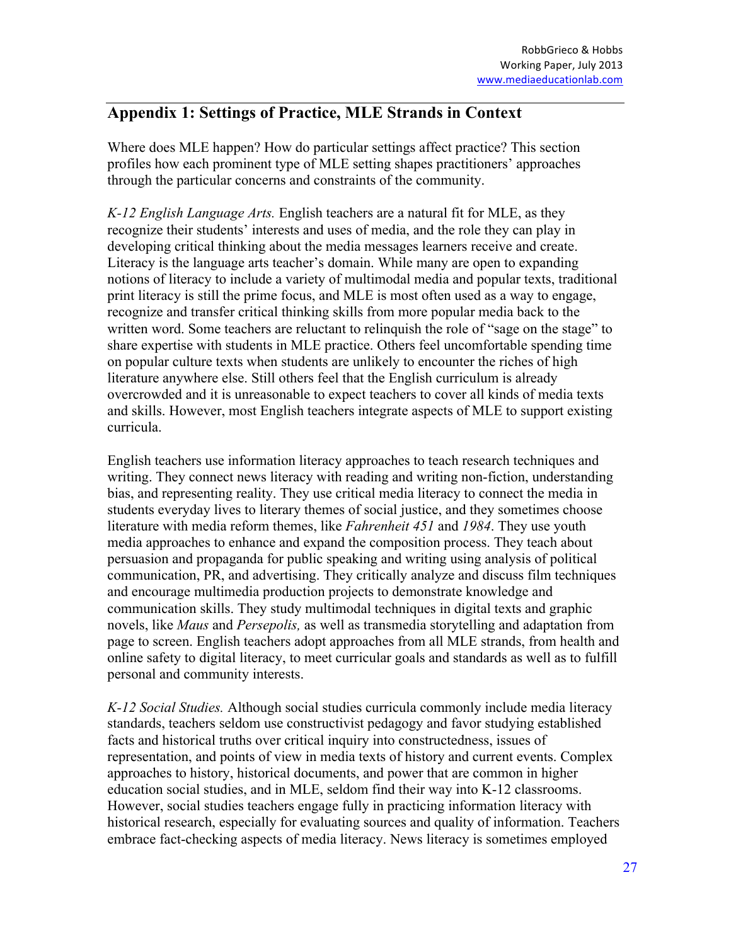## **Appendix 1: Settings of Practice, MLE Strands in Context**

Where does MLE happen? How do particular settings affect practice? This section profiles how each prominent type of MLE setting shapes practitioners' approaches through the particular concerns and constraints of the community.

*K-12 English Language Arts.* English teachers are a natural fit for MLE, as they recognize their students' interests and uses of media, and the role they can play in developing critical thinking about the media messages learners receive and create. Literacy is the language arts teacher's domain. While many are open to expanding notions of literacy to include a variety of multimodal media and popular texts, traditional print literacy is still the prime focus, and MLE is most often used as a way to engage, recognize and transfer critical thinking skills from more popular media back to the written word. Some teachers are reluctant to relinquish the role of "sage on the stage" to share expertise with students in MLE practice. Others feel uncomfortable spending time on popular culture texts when students are unlikely to encounter the riches of high literature anywhere else. Still others feel that the English curriculum is already overcrowded and it is unreasonable to expect teachers to cover all kinds of media texts and skills. However, most English teachers integrate aspects of MLE to support existing curricula.

English teachers use information literacy approaches to teach research techniques and writing. They connect news literacy with reading and writing non-fiction, understanding bias, and representing reality. They use critical media literacy to connect the media in students everyday lives to literary themes of social justice, and they sometimes choose literature with media reform themes, like *Fahrenheit 451* and *1984*. They use youth media approaches to enhance and expand the composition process. They teach about persuasion and propaganda for public speaking and writing using analysis of political communication, PR, and advertising. They critically analyze and discuss film techniques and encourage multimedia production projects to demonstrate knowledge and communication skills. They study multimodal techniques in digital texts and graphic novels, like *Maus* and *Persepolis,* as well as transmedia storytelling and adaptation from page to screen. English teachers adopt approaches from all MLE strands, from health and online safety to digital literacy, to meet curricular goals and standards as well as to fulfill personal and community interests.

*K-12 Social Studies.* Although social studies curricula commonly include media literacy standards, teachers seldom use constructivist pedagogy and favor studying established facts and historical truths over critical inquiry into constructedness, issues of representation, and points of view in media texts of history and current events. Complex approaches to history, historical documents, and power that are common in higher education social studies, and in MLE, seldom find their way into K-12 classrooms. However, social studies teachers engage fully in practicing information literacy with historical research, especially for evaluating sources and quality of information. Teachers embrace fact-checking aspects of media literacy. News literacy is sometimes employed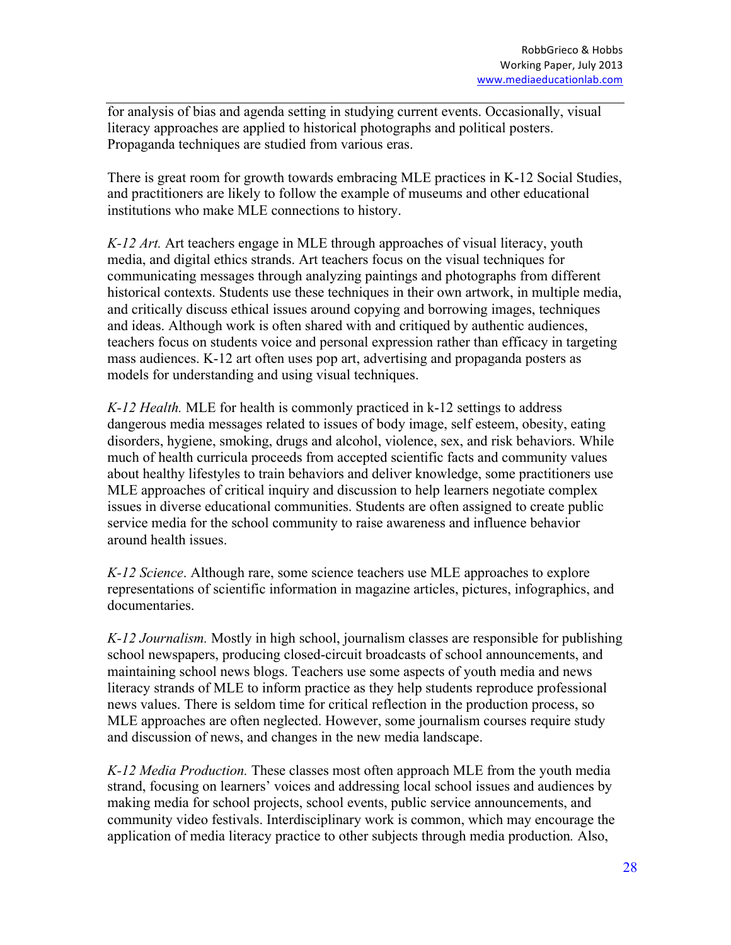for analysis of bias and agenda setting in studying current events. Occasionally, visual literacy approaches are applied to historical photographs and political posters. Propaganda techniques are studied from various eras.

There is great room for growth towards embracing MLE practices in K-12 Social Studies, and practitioners are likely to follow the example of museums and other educational institutions who make MLE connections to history.

*K-12 Art.* Art teachers engage in MLE through approaches of visual literacy, youth media, and digital ethics strands. Art teachers focus on the visual techniques for communicating messages through analyzing paintings and photographs from different historical contexts. Students use these techniques in their own artwork, in multiple media, and critically discuss ethical issues around copying and borrowing images, techniques and ideas. Although work is often shared with and critiqued by authentic audiences, teachers focus on students voice and personal expression rather than efficacy in targeting mass audiences. K-12 art often uses pop art, advertising and propaganda posters as models for understanding and using visual techniques.

*K-12 Health.* MLE for health is commonly practiced in k-12 settings to address dangerous media messages related to issues of body image, self esteem, obesity, eating disorders, hygiene, smoking, drugs and alcohol, violence, sex, and risk behaviors. While much of health curricula proceeds from accepted scientific facts and community values about healthy lifestyles to train behaviors and deliver knowledge, some practitioners use MLE approaches of critical inquiry and discussion to help learners negotiate complex issues in diverse educational communities. Students are often assigned to create public service media for the school community to raise awareness and influence behavior around health issues.

*K-12 Science*. Although rare, some science teachers use MLE approaches to explore representations of scientific information in magazine articles, pictures, infographics, and documentaries.

*K-12 Journalism.* Mostly in high school, journalism classes are responsible for publishing school newspapers, producing closed-circuit broadcasts of school announcements, and maintaining school news blogs. Teachers use some aspects of youth media and news literacy strands of MLE to inform practice as they help students reproduce professional news values. There is seldom time for critical reflection in the production process, so MLE approaches are often neglected. However, some journalism courses require study and discussion of news, and changes in the new media landscape.

*K-12 Media Production.* These classes most often approach MLE from the youth media strand, focusing on learners' voices and addressing local school issues and audiences by making media for school projects, school events, public service announcements, and community video festivals. Interdisciplinary work is common, which may encourage the application of media literacy practice to other subjects through media production*.* Also,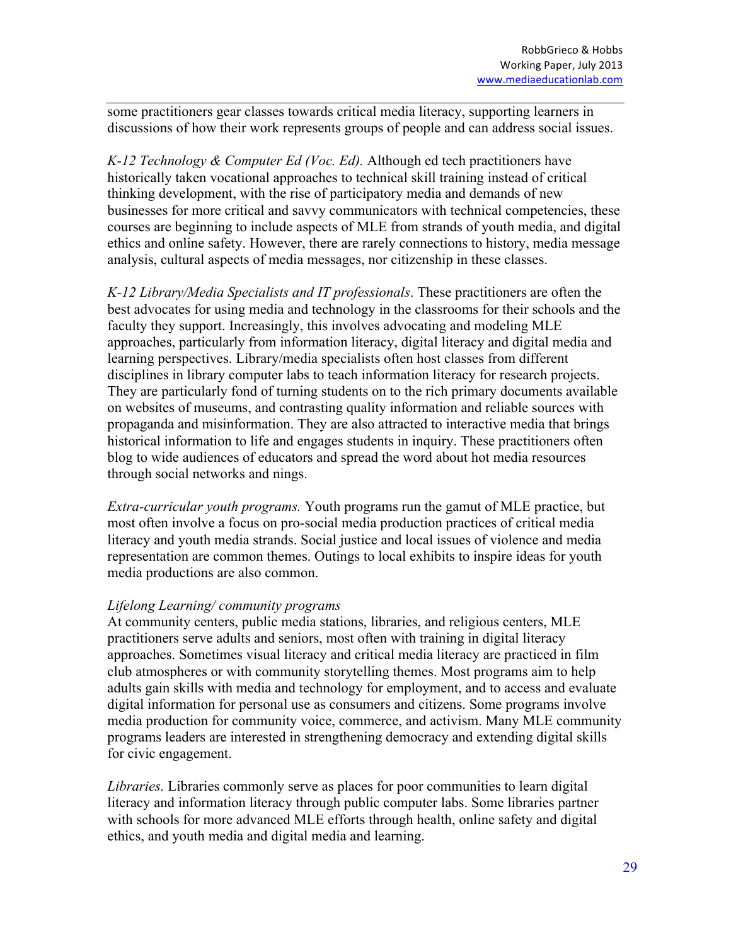some practitioners gear classes towards critical media literacy, supporting learners in discussions of how their work represents groups of people and can address social issues.

*K-12 Technology & Computer Ed (Voc. Ed).* Although ed tech practitioners have historically taken vocational approaches to technical skill training instead of critical thinking development, with the rise of participatory media and demands of new businesses for more critical and savvy communicators with technical competencies, these courses are beginning to include aspects of MLE from strands of youth media, and digital ethics and online safety. However, there are rarely connections to history, media message analysis, cultural aspects of media messages, nor citizenship in these classes.

*K-12 Library/Media Specialists and IT professionals*. These practitioners are often the best advocates for using media and technology in the classrooms for their schools and the faculty they support. Increasingly, this involves advocating and modeling MLE approaches, particularly from information literacy, digital literacy and digital media and learning perspectives. Library/media specialists often host classes from different disciplines in library computer labs to teach information literacy for research projects. They are particularly fond of turning students on to the rich primary documents available on websites of museums, and contrasting quality information and reliable sources with propaganda and misinformation. They are also attracted to interactive media that brings historical information to life and engages students in inquiry. These practitioners often blog to wide audiences of educators and spread the word about hot media resources through social networks and nings.

*Extra-curricular youth programs.* Youth programs run the gamut of MLE practice, but most often involve a focus on pro-social media production practices of critical media literacy and youth media strands. Social justice and local issues of violence and media representation are common themes. Outings to local exhibits to inspire ideas for youth media productions are also common.

#### *Lifelong Learning/ community programs*

At community centers, public media stations, libraries, and religious centers, MLE practitioners serve adults and seniors, most often with training in digital literacy approaches. Sometimes visual literacy and critical media literacy are practiced in film club atmospheres or with community storytelling themes. Most programs aim to help adults gain skills with media and technology for employment, and to access and evaluate digital information for personal use as consumers and citizens. Some programs involve media production for community voice, commerce, and activism. Many MLE community programs leaders are interested in strengthening democracy and extending digital skills for civic engagement.

*Libraries.* Libraries commonly serve as places for poor communities to learn digital literacy and information literacy through public computer labs. Some libraries partner with schools for more advanced MLE efforts through health, online safety and digital ethics, and youth media and digital media and learning.